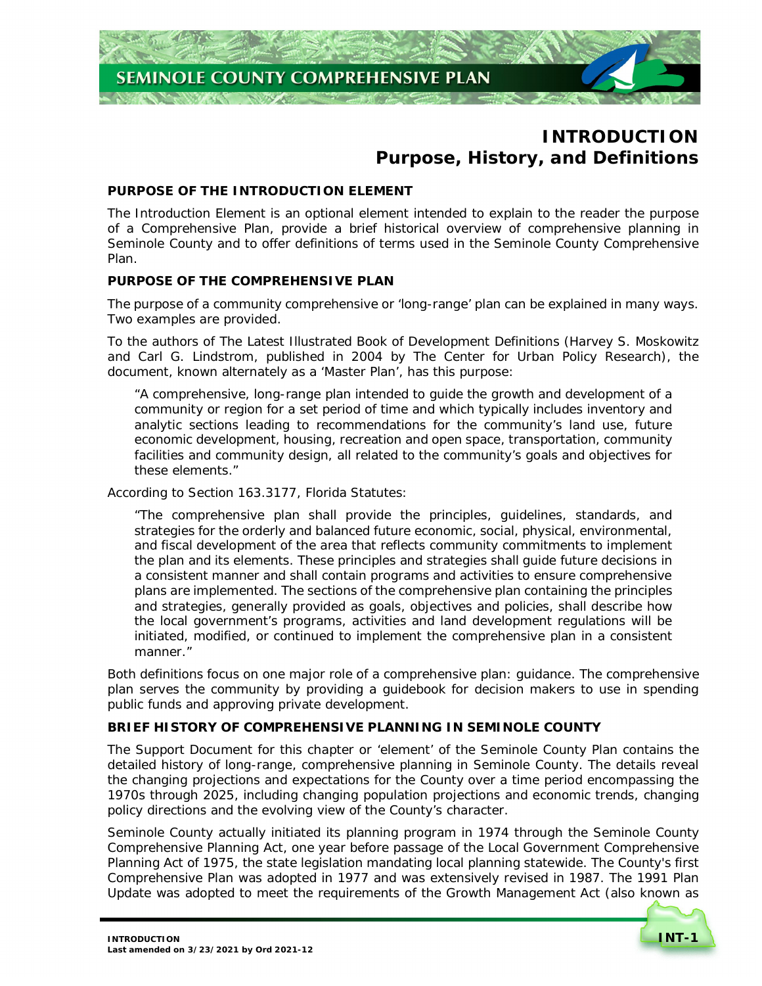# **Purpose, History, and Definitions INTRODUCTION**

# **PURPOSE OF THE INTRODUCTION ELEMENT**

 The Introduction Element is an optional element intended to explain to the reader the purpose of a Comprehensive Plan, provide a brief historical overview of comprehensive planning in Seminole County and to offer definitions of terms used in the Seminole County Comprehensive Plan.

# **PURPOSE OF THE COMPREHENSIVE PLAN**

 The purpose of a community comprehensive or 'long-range' plan can be explained in many ways. Two examples are provided.

 To the authors of *The Latest Illustrated Book of Development Definitions* (Harvey S. Moskowitz and Carl G. Lindstrom, published in 2004 by The Center for Urban Policy Research), the document, known alternately as a 'Master Plan', has this purpose:

 "A comprehensive, long-range plan intended to guide the growth and development of a community or region for a set period of time and which typically includes inventory and analytic sections leading to recommendations for the community's land use, future economic development, housing, recreation and open space, transportation, community facilities and community design, all related to the community's goals and objectives for these elements."

According to Section 163.3177, Florida Statutes:

 "The comprehensive plan shall provide the principles, guidelines, standards, and strategies for the orderly and balanced future economic, social, physical, environmental, and fiscal development of the area that reflects community commitments to implement the plan and its elements. These principles and strategies shall guide future decisions in a consistent manner and shall contain programs and activities to ensure comprehensive plans are implemented. The sections of the comprehensive plan containing the principles and strategies, generally provided as goals, objectives and policies, shall describe how the local government's programs, activities and land development regulations will be initiated, modified, or continued to implement the comprehensive plan in a consistent manner."

 Both definitions focus on one major role of a comprehensive plan: guidance. The comprehensive plan serves the community by providing a guidebook for decision makers to use in spending public funds and approving private development.

# **BRIEF HISTORY OF COMPREHENSIVE PLANNING IN SEMINOLE COUNTY**

 The Support Document for this chapter or 'element' of the Seminole County Plan contains the detailed history of long-range, comprehensive planning in Seminole County. The details reveal the changing projections and expectations for the County over a time period encompassing the 1970s through 2025, including changing population projections and economic trends, changing policy directions and the evolving view of the County's character.

 Seminole County actually initiated its planning program in 1974 through the Seminole County Comprehensive Planning Act, one year before passage of the Local Government Comprehensive Planning Act of 1975, the state legislation mandating local planning statewide. The County's first Comprehensive Plan was adopted in 1977 and was extensively revised in 1987. The 1991 Plan Update was adopted to meet the requirements of the Growth Management Act (also known as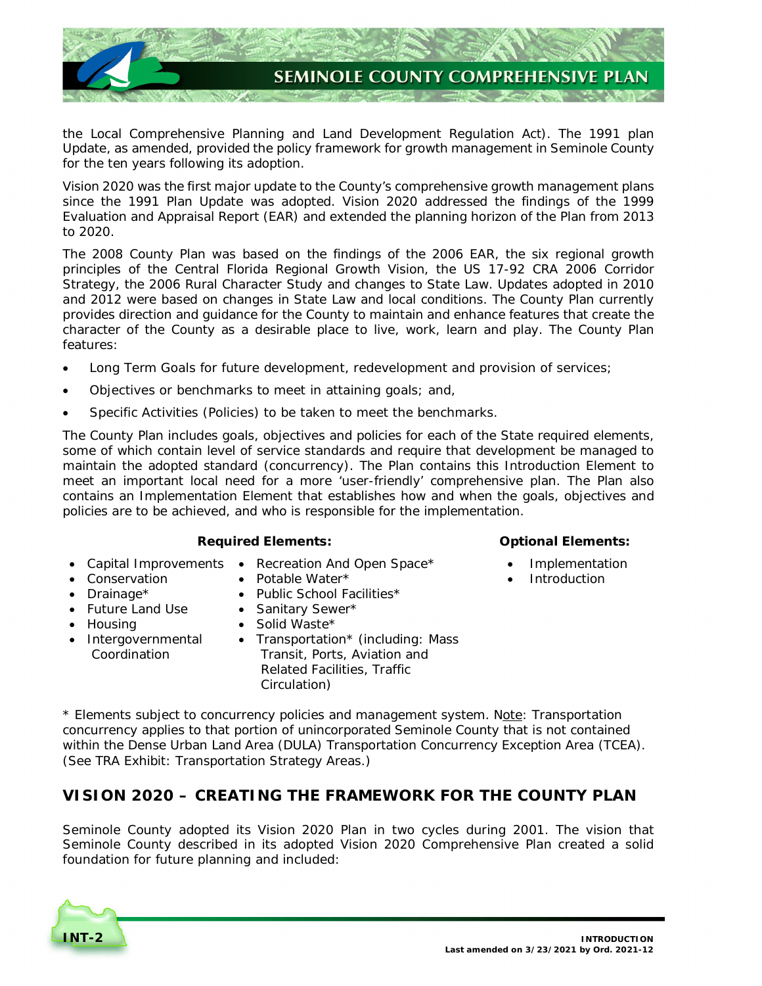

 the Local Comprehensive Planning and Land Development Regulation Act). The 1991 plan Update, as amended, provided the policy framework for growth management in Seminole County for the ten years following its adoption.

 Vision 2020 was the first major update to the County's comprehensive growth management plans since the 1991 Plan Update was adopted. Vision 2020 addressed the findings of the 1999 Evaluation and Appraisal Report (EAR) and extended the planning horizon of the Plan from 2013 to 2020.

 The 2008 County Plan was based on the findings of the 2006 EAR, the six regional growth principles of the Central Florida Regional Growth Vision, the US 17-92 CRA 2006 Corridor Strategy, the 2006 Rural Character Study and changes to State Law. Updates adopted in 2010 and 2012 were based on changes in State Law and local conditions. The County Plan currently provides direction and guidance for the County to maintain and enhance features that create the character of the County as a desirable place to live, work, learn and play. The County Plan features:

- Long Term Goals for future development, redevelopment and provision of services;
- Objectives or benchmarks to meet in attaining goals; and,
- Specific Activities (Policies) to be taken to meet the benchmarks.

 The County Plan includes goals, objectives and policies for each of the State required elements, some of which contain level of service standards and require that development be managed to maintain the adopted standard (concurrency). The Plan contains this Introduction Element to meet an important local need for a more 'user-friendly' comprehensive plan. The Plan also contains an Implementation Element that establishes how and when the goals, objectives and policies are to be achieved, and who is responsible for the implementation.

# *Required Elements: Optional Elements:*

- 
- Capital Improvements Recreation And Open Space\* Implementation
- 
- Potable Water $*$
- Drainage\* **•** Public School Facilities\*
- Future Land Use • Future Land Use • Sanitary Sewer\*
- Housing **•** Solid Waste\*
- 
- Intergovernmental Transportation\* (including: Mass Coordination Transit, Ports, Aviation and Related Facilities, Traffic Circulation)

- 
- Conservation **•** Potable Water\* **Introduction**

\* Elements subject to concurrency policies and management system. Note: Transportation concurrency applies to that portion of unincorporated Seminole County that is not contained within the Dense Urban Land Area (DULA) Transportation Concurrency Exception Area (TCEA).  *(*See *TRA Exhibit: Transportation Strategy Areas.)* 

# **VISION 2020 – CREATING THE FRAMEWORK FOR THE COUNTY PLAN**

 Seminole County adopted its Vision 2020 Plan in two cycles during 2001. The vision that Seminole County described in its adopted Vision 2020 Comprehensive Plan created a solid foundation for future planning and included:

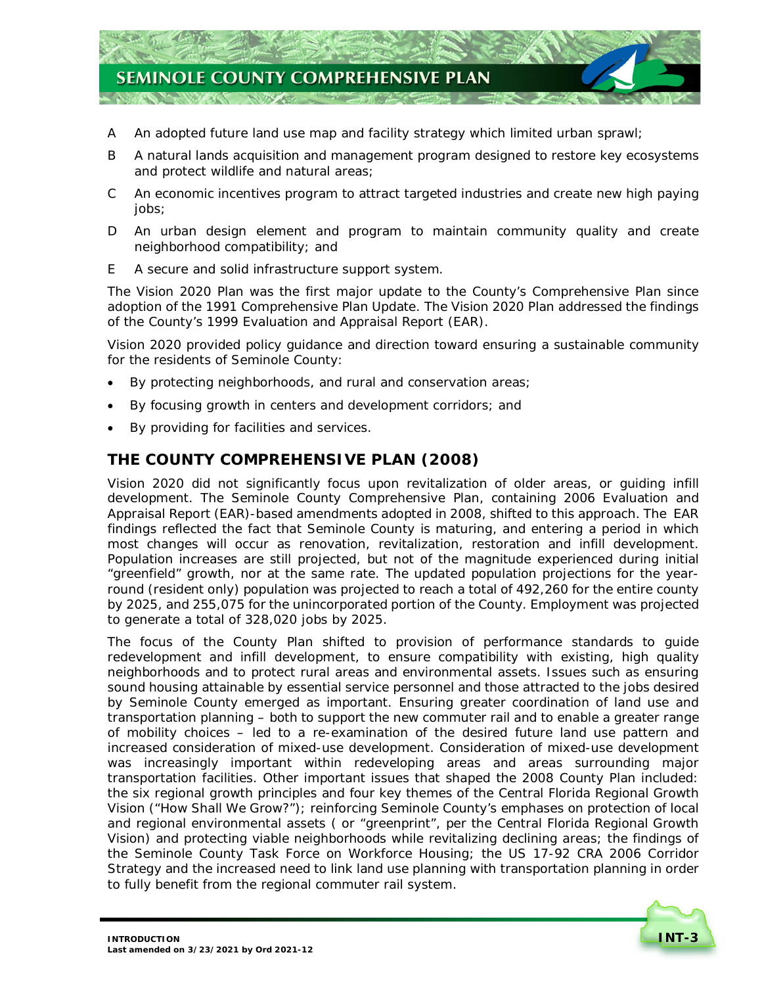

- A An adopted future land use map and facility strategy which limited urban sprawl;
- B A natural lands acquisition and management program designed to restore key ecosystems and protect wildlife and natural areas;
- An economic incentives program to attract targeted industries and create new high paying  $\mathcal{C}$ jobs;
- D An urban design element and program to maintain community quality and create neighborhood compatibility; and
- E A secure and solid infrastructure support system.

 The Vision 2020 Plan was the first major update to the County's Comprehensive Plan since adoption of the 1991 Comprehensive Plan Update. The Vision 2020 Plan addressed the findings of the County's 1999 Evaluation and Appraisal Report (EAR).

 Vision 2020 provided policy guidance and direction toward ensuring a sustainable community for the residents of Seminole County:

- By protecting neighborhoods, and rural and conservation areas;
- By focusing growth in centers and development corridors; and
- By providing for facilities and services.

# **THE COUNTY COMPREHENSIVE PLAN (2008)**

 Vision 2020 did not significantly focus upon revitalization of older areas, or guiding infill development. The Seminole County Comprehensive Plan, containing 2006 Evaluation and Appraisal Report (EAR)-based amendments adopted in 2008, shifted to this approach. The EAR findings reflected the fact that Seminole County is maturing, and entering a period in which most changes will occur as renovation, revitalization, restoration and infill development. Population increases are still projected, but not of the magnitude experienced during initial "greenfield" growth, nor at the same rate. The updated population projections for the year- round (resident only) population was projected to reach a total of 492,260 for the entire county by 2025, and 255,075 for the unincorporated portion of the County. Employment was projected to generate a total of 328,020 jobs by 2025.

 The focus of the County Plan shifted to provision of performance standards to guide redevelopment and infill development, to ensure compatibility with existing, high quality neighborhoods and to protect rural areas and environmental assets. Issues such as ensuring sound housing attainable by essential service personnel and those attracted to the jobs desired by Seminole County emerged as important. Ensuring greater coordination of land use and transportation planning – both to support the new commuter rail and to enable a greater range of mobility choices – led to a re-examination of the desired future land use pattern and increased consideration of mixed-use development. Consideration of mixed-use development was increasingly important within redeveloping areas and areas surrounding major transportation facilities. Other important issues that shaped the 2008 County Plan included: the six regional growth principles and four key themes of the Central Florida Regional Growth Vision ("How Shall We Grow?"); reinforcing Seminole County's emphases on protection of local and regional environmental assets ( or "greenprint", per the Central Florida Regional Growth Vision) and protecting viable neighborhoods while revitalizing declining areas; the findings of the Seminole County Task Force on Workforce Housing; the US 17-92 CRA 2006 Corridor Strategy and the increased need to link land use planning with transportation planning in order to fully benefit from the regional commuter rail system.

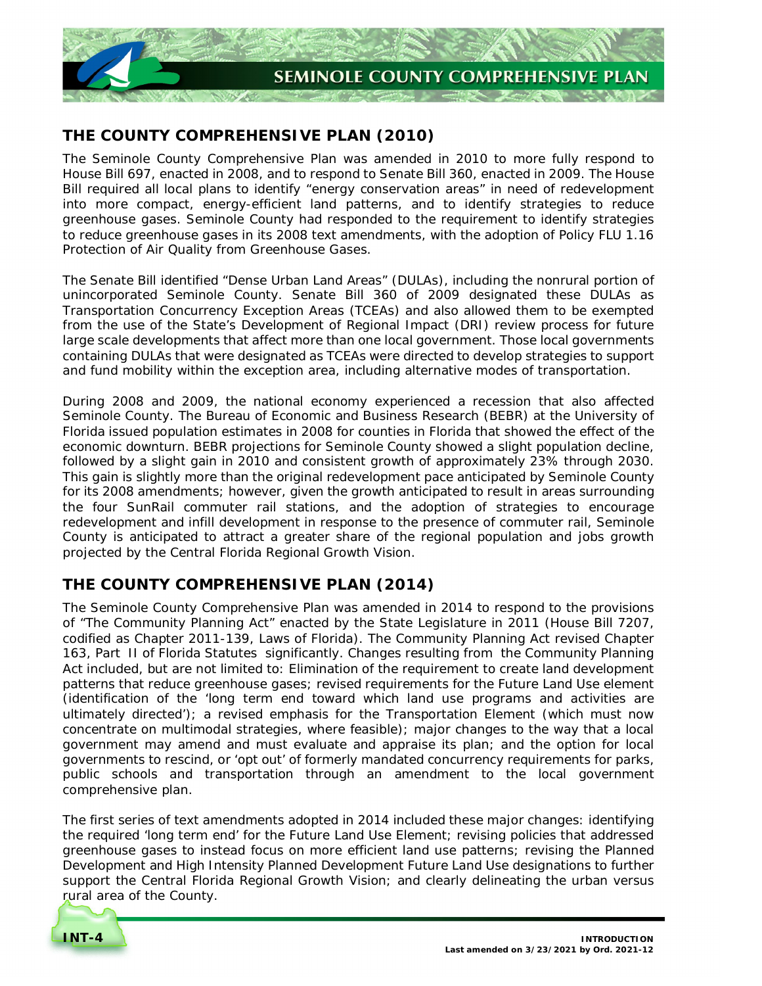

# **THE COUNTY COMPREHENSIVE PLAN (2010)**

 The Seminole County Comprehensive Plan was amended in 2010 to more fully respond to House Bill 697, enacted in 2008, and to respond to Senate Bill 360, enacted in 2009. The House Bill required all local plans to identify "energy conservation areas" in need of redevelopment into more compact, energy-efficient land patterns, and to identify strategies to reduce greenhouse gases. Seminole County had responded to the requirement to identify strategies to reduce greenhouse gases in its 2008 text amendments, with the adoption of *Policy FLU 1.16 Protection of Air Quality from Greenhouse Gases*.

 The Senate Bill identified "Dense Urban Land Areas" (DULAs), including the nonrural portion of unincorporated Seminole County. Senate Bill 360 of 2009 designated these DULAs as Transportation Concurrency Exception Areas (TCEAs) and also allowed them to be exempted from the use of the State's Development of Regional Impact (DRI) review process for future large scale developments that affect more than one local government. Those local governments containing DULAs that were designated as TCEAs were directed to develop strategies to support and fund mobility within the exception area, including alternative modes of transportation.

 During 2008 and 2009, the national economy experienced a recession that also affected Seminole County. The Bureau of Economic and Business Research (BEBR) at the University of Florida issued population estimates in 2008 for counties in Florida that showed the effect of the economic downturn. BEBR projections for Seminole County showed a slight population decline, followed by a slight gain in 2010 and consistent growth of approximately 23% through 2030. This gain is slightly more than the original redevelopment pace anticipated by Seminole County for its 2008 amendments; however, given the growth anticipated to result in areas surrounding the four SunRail commuter rail stations, and the adoption of strategies to encourage redevelopment and infill development in response to the presence of commuter rail, Seminole County is anticipated to attract a greater share of the regional population and jobs growth projected by the Central Florida Regional Growth Vision.

# **THE COUNTY COMPREHENSIVE PLAN (2014)**

 The Seminole County Comprehensive Plan was amended in 2014 to respond to the provisions of "The Community Planning Act" enacted by the State Legislature in 2011 (House Bill 7207, codified as Chapter 2011-139, Laws of Florida). The Community Planning Act revised Chapter 163, Part II of Florida Statutes significantly. Changes resulting from the Community Planning Act included, but are not limited to: Elimination of the requirement to create land development patterns that reduce greenhouse gases; revised requirements for the Future Land Use element (identification of the 'long term end toward which land use programs and activities are ultimately directed'); a revised emphasis for the Transportation Element (which must now concentrate on multimodal strategies, where feasible); major changes to the way that a local government may amend and must evaluate and appraise its plan; and the option for local governments to rescind, or 'opt out' of formerly mandated concurrency requirements for parks, public schools and transportation through an amendment to the local government comprehensive plan.

comprehensive plan.<br>The first series of text amendments adopted in 2014 included these major changes: identifying the required 'long term end' for the Future Land Use Element; revising policies that addressed greenhouse gases to instead focus on more efficient land use patterns; revising the Planned Development and High Intensity Planned Development Future Land Use designations to further support the Central Florida Regional Growth Vision; and clearly delineating the urban versus rural area of the County.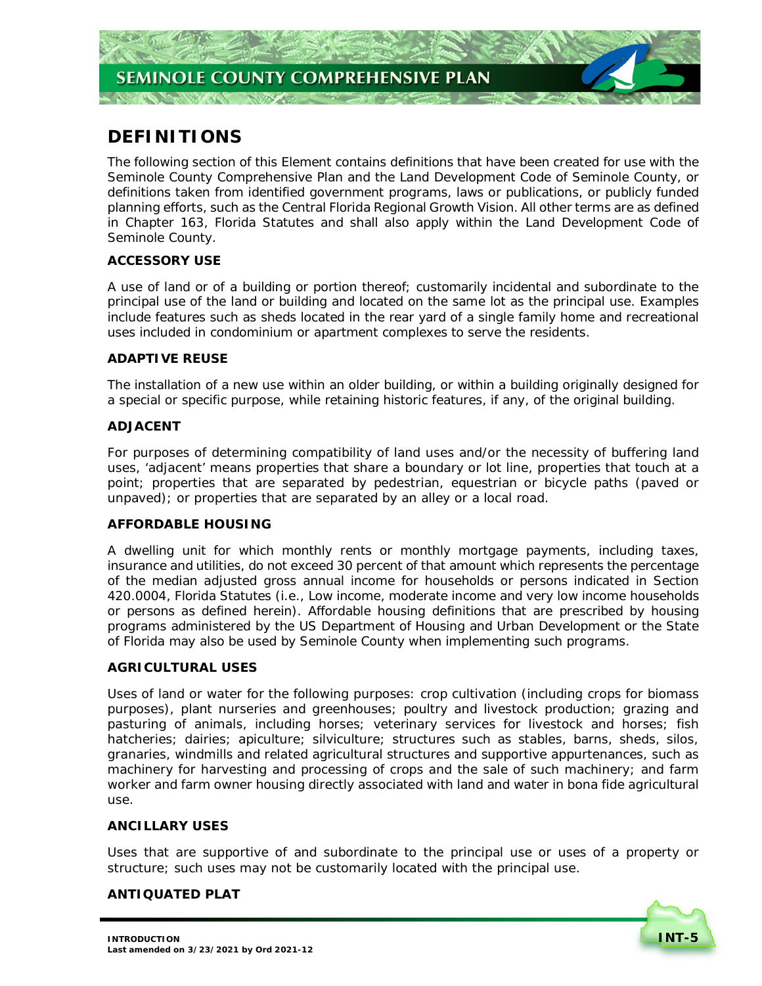# **DEFINITIONS**

 The following section of this Element contains definitions that have been created for use with the Seminole County Comprehensive Plan and the Land Development Code of Seminole County, or definitions taken from identified government programs, laws or publications, or publicly funded planning efforts, such as the Central Florida Regional Growth Vision. All other terms are as defined in Chapter 163, Florida Statutes and shall also apply within the Land Development Code of Seminole County.

# **ACCESSORY USE**

 A use of land or of a building or portion thereof; customarily incidental and subordinate to the principal use of the land or building and located on the same lot as the principal use. Examples include features such as sheds located in the rear yard of a single family home and recreational uses included in condominium or apartment complexes to serve the residents.

# **ADAPTIVE REUSE**

 The installation of a new use within an older building, or within a building originally designed for a special or specific purpose, while retaining historic features, if any, of the original building.

# **ADJACENT**

 For purposes of determining compatibility of land uses and/or the necessity of buffering land uses, 'adjacent' means properties that share a boundary or lot line, properties that touch at a point; properties that are separated by pedestrian, equestrian or bicycle paths (paved or unpaved); or properties that are separated by an alley or a local road.

# **AFFORDABLE HOUSING**

 A dwelling unit for which monthly rents or monthly mortgage payments, including taxes, insurance and utilities, do not exceed 30 percent of that amount which represents the percentage of the median adjusted gross annual income for households or persons indicated in Section 420.0004, Florida Statutes (i.e., Low income, moderate income and very low income households or persons as defined herein). Affordable housing definitions that are prescribed by housing programs administered by the US Department of Housing and Urban Development or the State of Florida may also be used by Seminole County when implementing such programs.

# **AGRICULTURAL USES**

 Uses of land or water for the following purposes: crop cultivation (including crops for biomass purposes), plant nurseries and greenhouses; poultry and livestock production; grazing and pasturing of animals, including horses; veterinary services for livestock and horses; fish hatcheries; dairies; apiculture; silviculture; structures such as stables, barns, sheds, silos, granaries, windmills and related agricultural structures and supportive appurtenances, such as machinery for harvesting and processing of crops and the sale of such machinery; and farm worker and farm owner housing directly associated with land and water in bona fide agricultural use.

# **ANCILLARY USES**

 Uses that are supportive of and subordinate to the principal use or uses of a property or structure; such uses may not be customarily located with the principal use.

# **ANTIQUATED PLAT**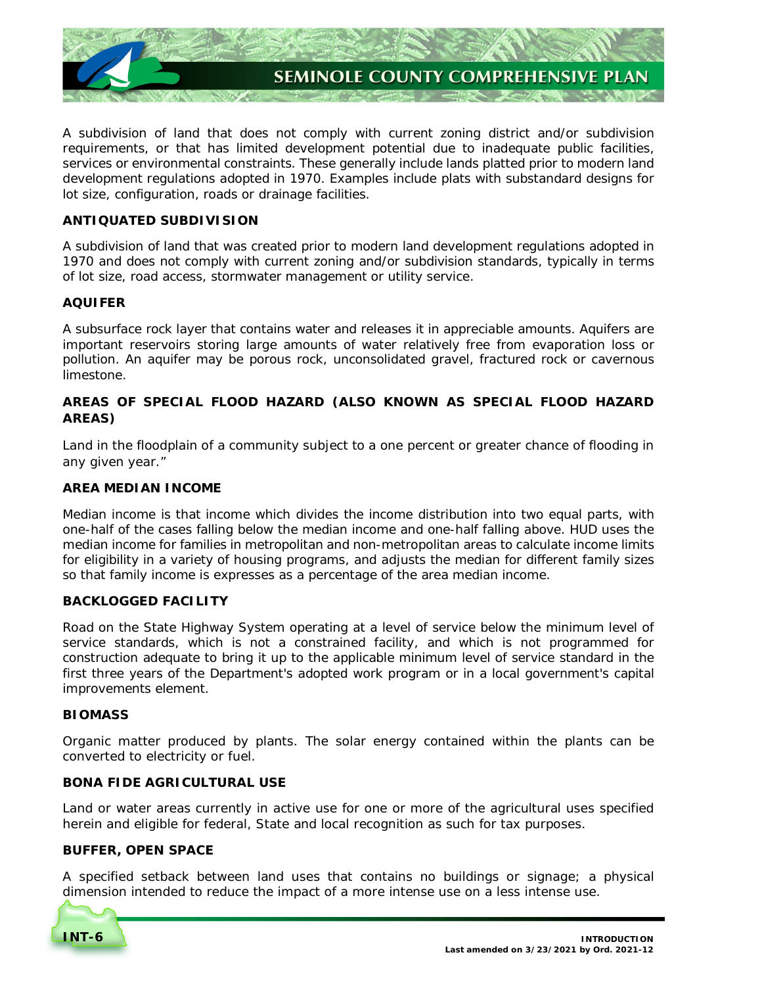

 A subdivision of land that does not comply with current zoning district and/or subdivision requirements, or that has limited development potential due to inadequate public facilities, services or environmental constraints. These generally include lands platted prior to modern land development regulations adopted in 1970. Examples include plats with substandard designs for lot size, configuration, roads or drainage facilities.

# **ANTIQUATED SUBDIVISION**

 A subdivision of land that was created prior to modern land development regulations adopted in 1970 and does not comply with current zoning and/or subdivision standards, typically in terms of lot size, road access, stormwater management or utility service.

#### **AQUIFER**

 A subsurface rock layer that contains water and releases it in appreciable amounts. Aquifers are important reservoirs storing large amounts of water relatively free from evaporation loss or pollution. An aquifer may be porous rock, unconsolidated gravel, fractured rock or cavernous limestone.

# **AREAS OF SPECIAL FLOOD HAZARD (ALSO KNOWN AS SPECIAL FLOOD HAZARD AREAS)**

 Land in the floodplain of a community subject to a one percent or greater chance of flooding in any given year."

### **AREA MEDIAN INCOME**

 Median income is that income which divides the income distribution into two equal parts, with one-half of the cases falling below the median income and one-half falling above. HUD uses the median income for families in metropolitan and non-metropolitan areas to calculate income limits for eligibility in a variety of housing programs, and adjusts the median for different family sizes so that family income is expresses as a percentage of the area median income.

# **BACKLOGGED FACILITY**

 Road on the State Highway System operating at a level of service below the minimum level of service standards, which is not a constrained facility, and which is not programmed for construction adequate to bring it up to the applicable minimum level of service standard in the first three years of the Department's adopted work program or in a local government's capital improvements element.

#### **BIOMASS**

 Organic matter produced by plants. The solar energy contained within the plants can be converted to electricity or fuel.

#### **BONA FIDE AGRICULTURAL USE**

 Land or water areas currently in active use for one or more of the agricultural uses specified herein and eligible for federal, State and local recognition as such for tax purposes.

#### **BUFFER, OPEN SPACE**

 A specified setback between land uses that contains no buildings or signage; a physical dimension intended to reduce the impact of a more intense use on a less intense use.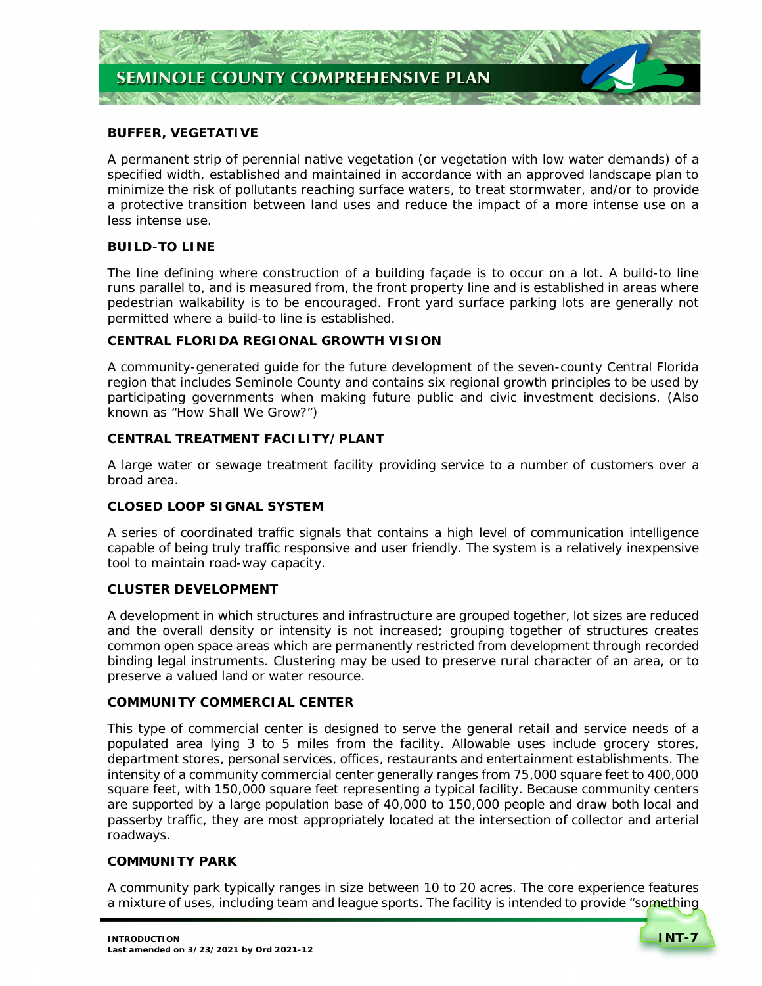

### **BUFFER, VEGETATIVE**

 A permanent strip of perennial native vegetation (or vegetation with low water demands) of a specified width, established and maintained in accordance with an approved landscape plan to minimize the risk of pollutants reaching surface waters, to treat stormwater, and/or to provide a protective transition between land uses and reduce the impact of a more intense use on a less intense use.

# **BUILD-TO LINE**

 The line defining where construction of a building façade is to occur on a lot. A build-to line runs parallel to, and is measured from, the front property line and is established in areas where pedestrian walkability is to be encouraged. Front yard surface parking lots are generally not permitted where a build-to line is established.

### **CENTRAL FLORIDA REGIONAL GROWTH VISION**

 A community-generated guide for the future development of the seven-county Central Florida region that includes Seminole County and contains six regional growth principles to be used by participating governments when making future public and civic investment decisions. (Also known as "How Shall We Grow?")

### **CENTRAL TREATMENT FACILITY/PLANT**

 A large water or sewage treatment facility providing service to a number of customers over a broad area.

# **CLOSED LOOP SIGNAL SYSTEM**

 A series of coordinated traffic signals that contains a high level of communication intelligence capable of being truly traffic responsive and user friendly. The system is a relatively inexpensive tool to maintain road-way capacity.

### **CLUSTER DEVELOPMENT**

 A development in which structures and infrastructure are grouped together, lot sizes are reduced and the overall density or intensity is not increased; grouping together of structures creates common open space areas which are permanently restricted from development through recorded binding legal instruments. Clustering may be used to preserve rural character of an area, or to preserve a valued land or water resource.

### **COMMUNITY COMMERCIAL CENTER**

 This type of commercial center is designed to serve the general retail and service needs of a populated area lying 3 to 5 miles from the facility. Allowable uses include grocery stores, department stores, personal services, offices, restaurants and entertainment establishments. The intensity of a community commercial center generally ranges from 75,000 square feet to 400,000 square feet, with 150,000 square feet representing a typical facility. Because community centers are supported by a large population base of 40,000 to 150,000 people and draw both local and passerby traffic, they are most appropriately located at the intersection of collector and arterial roadways.

### **COMMUNITY PARK**

 A community park typically ranges in size between 10 to 20 acres. The core experience features a mixture of uses, including team and league sports. The facility is intended to provide "something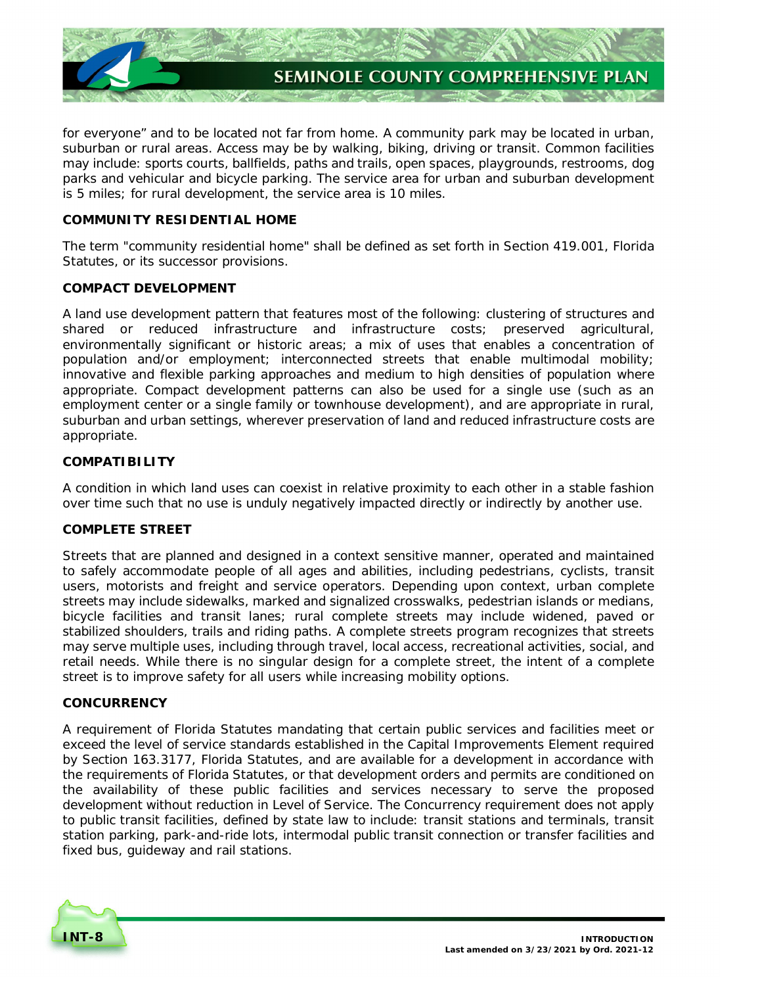

 for everyone" and to be located not far from home. A community park may be located in urban, suburban or rural areas. Access may be by walking, biking, driving or transit. Common facilities may include: sports courts, ballfields, paths and trails, open spaces, playgrounds, restrooms, dog parks and vehicular and bicycle parking. The service area for urban and suburban development is 5 miles; for rural development, the service area is 10 miles.

# **COMMUNITY RESIDENTIAL HOME**

 The term "community residential home" shall be defined as set forth in Section 419.001, Florida Statutes, or its successor provisions.

# **COMPACT DEVELOPMENT**

 A land use development pattern that features most of the following: clustering of structures and shared or reduced infrastructure and infrastructure costs; preserved agricultural, environmentally significant or historic areas; a mix of uses that enables a concentration of population and/or employment; interconnected streets that enable multimodal mobility; innovative and flexible parking approaches and medium to high densities of population where appropriate. Compact development patterns can also be used for a single use (such as an employment center or a single family or townhouse development), and are appropriate in rural, suburban and urban settings, wherever preservation of land and reduced infrastructure costs are appropriate.

# **COMPATIBILITY**

 A condition in which land uses can coexist in relative proximity to each other in a stable fashion over time such that no use is unduly negatively impacted directly or indirectly by another use.

# **COMPLETE STREET**

 Streets that are planned and designed in a context sensitive manner, operated and maintained to safely accommodate people of all ages and abilities, including pedestrians, cyclists, transit users, motorists and freight and service operators. Depending upon context, urban complete streets may include sidewalks, marked and signalized crosswalks, pedestrian islands or medians, bicycle facilities and transit lanes; rural complete streets may include widened, paved or stabilized shoulders, trails and riding paths. A complete streets program recognizes that streets may serve multiple uses, including through travel, local access, recreational activities, social, and retail needs. While there is no singular design for a complete street, the intent of a complete street is to improve safety for all users while increasing mobility options.

# **CONCURRENCY**

 A requirement of Florida Statutes mandating that certain public services and facilities meet or exceed the level of service standards established in the Capital Improvements Element required by Section 163.3177, Florida Statutes, and are available for a development in accordance with the requirements of Florida Statutes, or that development orders and permits are conditioned on the availability of these public facilities and services necessary to serve the proposed development without reduction in Level of Service. The Concurrency requirement does not apply to public transit facilities, defined by state law to include: transit stations and terminals, transit station parking, park-and-ride lots, intermodal public transit connection or transfer facilities and fixed bus, guideway and rail stations.

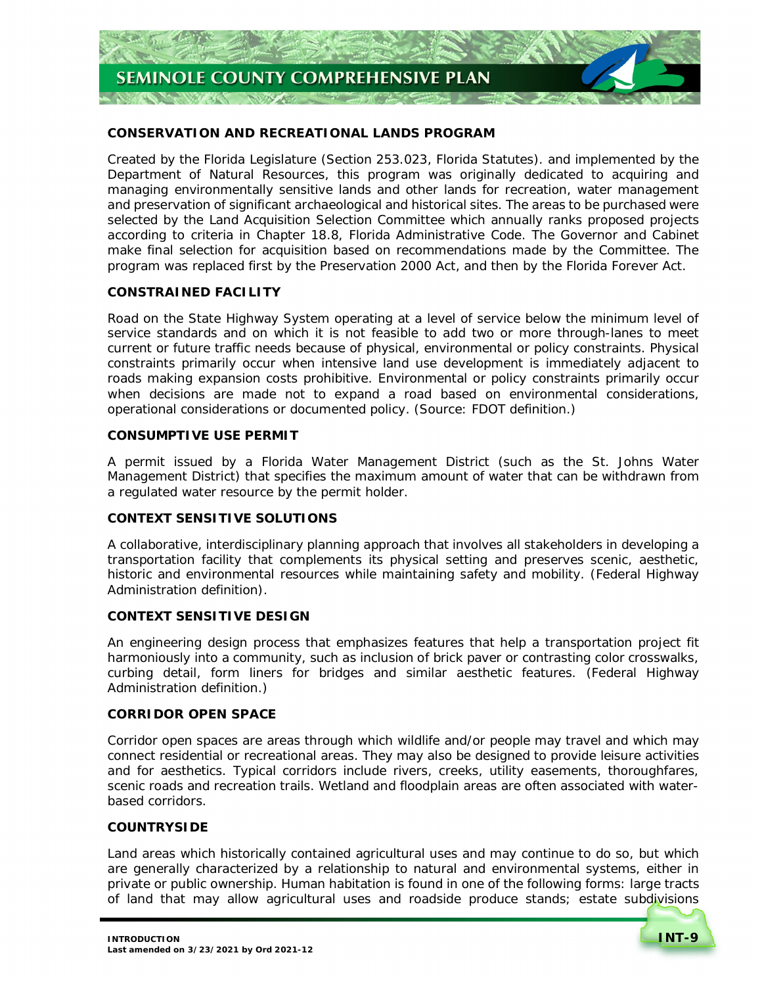# **CONSERVATION AND RECREATIONAL LANDS PROGRAM**

 Created by the Florida Legislature (Section 253.023, Florida Statutes). and implemented by the Department of Natural Resources, this program was originally dedicated to acquiring and managing environmentally sensitive lands and other lands for recreation, water management and preservation of significant archaeological and historical sites. The areas to be purchased were selected by the Land Acquisition Selection Committee which annually ranks proposed projects according to criteria in Chapter 18.8, Florida Administrative Code. The Governor and Cabinet make final selection for acquisition based on recommendations made by the Committee. The program was replaced first by the Preservation 2000 Act, and then by the Florida Forever Act.

# **CONSTRAINED FACILITY**

 Road on the State Highway System operating at a level of service below the minimum level of service standards and on which it is not feasible to add two or more through-lanes to meet current or future traffic needs because of physical, environmental or policy constraints. Physical constraints primarily occur when intensive land use development is immediately adjacent to roads making expansion costs prohibitive. Environmental or policy constraints primarily occur when decisions are made not to expand a road based on environmental considerations, operational considerations or documented policy. *(Source: FDOT definition.)* 

# **CONSUMPTIVE USE PERMIT**

 A permit issued by a Florida Water Management District (such as the St. Johns Water Management District) that specifies the maximum amount of water that can be withdrawn from a regulated water resource by the permit holder.

# **CONTEXT SENSITIVE SOLUTIONS**

 A collaborative, interdisciplinary planning approach that involves all stakeholders in developing a transportation facility that complements its physical setting and preserves scenic, aesthetic, historic and environmental resources while maintaining safety and mobility. (Federal Highway Administration definition).

# **CONTEXT SENSITIVE DESIGN**

 An engineering design process that emphasizes features that help a transportation project fit harmoniously into a community, such as inclusion of brick paver or contrasting color crosswalks, curbing detail, form liners for bridges and similar aesthetic features. (Federal Highway Administration definition.)

### **CORRIDOR OPEN SPACE**

 Corridor open spaces are areas through which wildlife and/or people may travel and which may connect residential or recreational areas. They may also be designed to provide leisure activities and for aesthetics. Typical corridors include rivers, creeks, utility easements, thoroughfares, scenic roads and recreation trails. Wetland and floodplain areas are often associated with water-based corridors.

#### **COUNTRYSIDE**

 Land areas which historically contained agricultural uses and may continue to do so, but which are generally characterized by a relationship to natural and environmental systems, either in private or public ownership. Human habitation is found in one of the following forms: large tracts of land that may allow agricultural uses and roadside produce stands; estate subdivisions

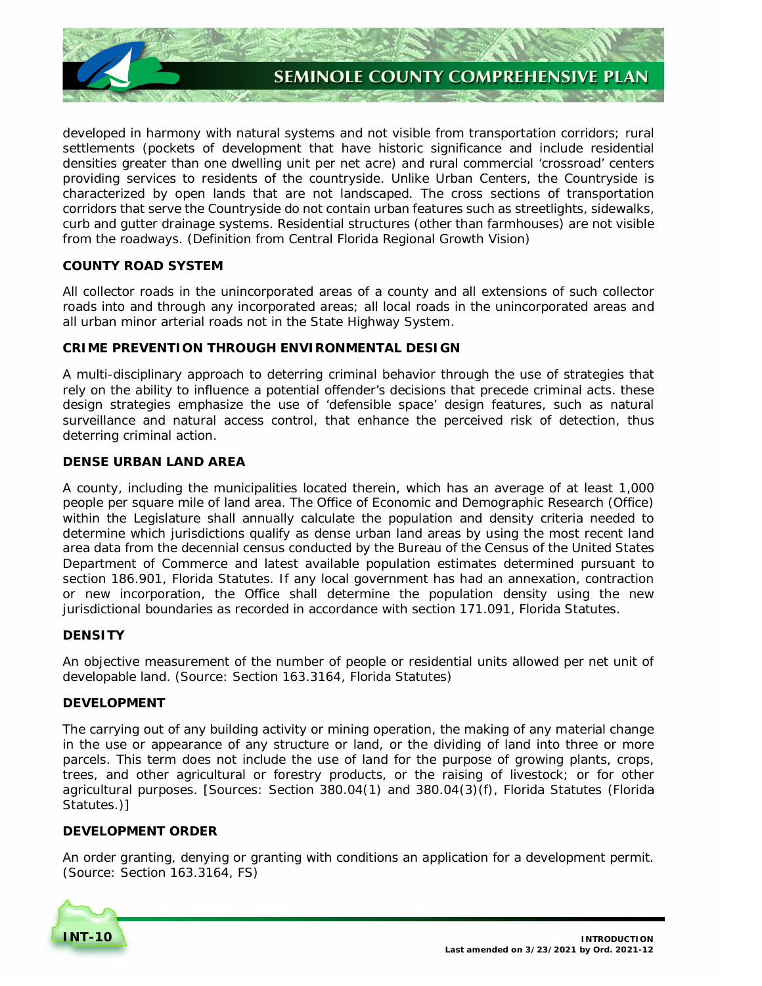

 developed in harmony with natural systems and not visible from transportation corridors; rural settlements (pockets of development that have historic significance and include residential densities greater than one dwelling unit per net acre) and rural commercial 'crossroad' centers providing services to residents of the countryside. Unlike Urban Centers, the Countryside is characterized by open lands that are not landscaped. The cross sections of transportation corridors that serve the Countryside do not contain urban features such as streetlights, sidewalks, curb and gutter drainage systems. Residential structures (other than farmhouses) are not visible from the roadways. (Definition from Central Florida Regional Growth Vision)

# **COUNTY ROAD SYSTEM**

 All collector roads in the unincorporated areas of a county and all extensions of such collector roads into and through any incorporated areas; all local roads in the unincorporated areas and all urban minor arterial roads not in the State Highway System.

# **CRIME PREVENTION THROUGH ENVIRONMENTAL DESIGN**

 A multi-disciplinary approach to deterring criminal behavior through the use of strategies that rely on the ability to influence a potential offender's decisions that precede criminal acts. these design strategies emphasize the use of 'defensible space' design features, such as natural surveillance and natural access control, that enhance the perceived risk of detection, thus deterring criminal action.

# **DENSE URBAN LAND AREA**

 A county, including the municipalities located therein, which has an average of at least 1,000 people per square mile of land area. The Office of Economic and Demographic Research (Office) within the Legislature shall annually calculate the population and density criteria needed to determine which jurisdictions qualify as dense urban land areas by using the most recent land area data from the decennial census conducted by the Bureau of the Census of the United States Department of Commerce and latest available population estimates determined pursuant to section 186.901, Florida Statutes. If any local government has had an annexation, contraction or new incorporation, the Office shall determine the population density using the new jurisdictional boundaries as recorded in accordance with section 171.091, Florida Statutes.

# **DENSITY**

 An objective measurement of the number of people or residential units allowed per net unit of developable land. (Source: Section 163.3164, Florida Statutes)

# **DEVELOPMENT**

 The carrying out of any building activity or mining operation, the making of any material change in the use or appearance of any structure or land, or the dividing of land into three or more parcels. This term does not include the use of land for the purpose of growing plants, crops, trees, and other agricultural or forestry products, or the raising of livestock; or for other agricultural purposes. *[Sources: Section 380.04(1) and 380.04(3)(f), Florida Statutes (Florida Statutes.)]* 

# **DEVELOPMENT ORDER**

 An order granting, denying or granting with conditions an application for a development permit.  *(Source: Section 163.3164, FS)* 

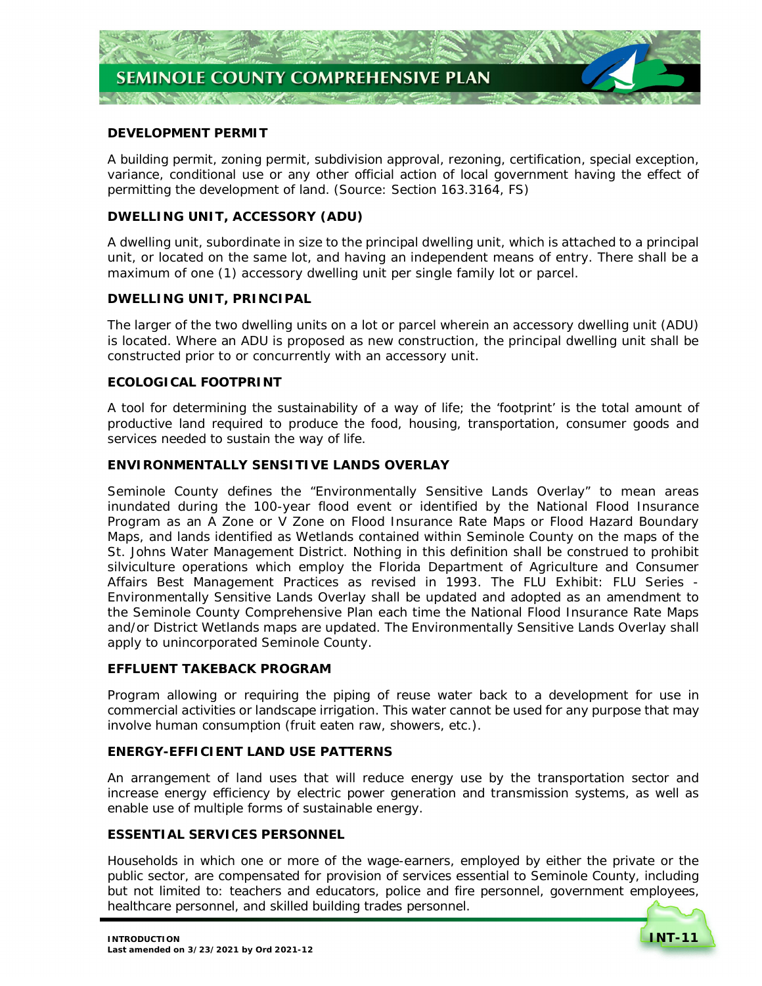

### **DEVELOPMENT PERMIT**

 A building permit, zoning permit, subdivision approval, rezoning, certification, special exception, variance, conditional use or any other official action of local government having the effect of permitting the development of land. *(Source: Section 163.3164, FS)* 

# **DWELLING UNIT, ACCESSORY (ADU)**

 A dwelling unit, subordinate in size to the principal dwelling unit, which is attached to a principal unit, or located on the same lot, and having an independent means of entry. There shall be a maximum of one (1) accessory dwelling unit per single family lot or parcel.

# **DWELLING UNIT, PRINCIPAL**

 The larger of the two dwelling units on a lot or parcel wherein an accessory dwelling unit (ADU) is located. Where an ADU is proposed as new construction, the principal dwelling unit shall be constructed prior to or concurrently with an accessory unit.

### **ECOLOGICAL FOOTPRINT**

 A tool for determining the sustainability of a way of life; the 'footprint' is the total amount of productive land required to produce the food, housing, transportation, consumer goods and services needed to sustain the way of life.

### **ENVIRONMENTALLY SENSITIVE LANDS OVERLAY**

 Seminole County defines the "Environmentally Sensitive Lands Overlay" to mean areas inundated during the 100-year flood event or identified by the National Flood Insurance Program as an A Zone or V Zone on Flood Insurance Rate Maps or Flood Hazard Boundary Maps, and lands identified as Wetlands contained within Seminole County on the maps of the St. Johns Water Management District. Nothing in this definition shall be construed to prohibit silviculture operations which employ the Florida Department of Agriculture and Consumer Affairs Best Management Practices as revised in 1993. The *FLU Exhibit: FLU Series - Environmentally Sensitive Lands Overlay* shall be updated and adopted as an amendment to the Seminole County Comprehensive Plan each time the National Flood Insurance Rate Maps and/or District Wetlands maps are updated. The Environmentally Sensitive Lands Overlay shall apply to unincorporated Seminole County.

#### **EFFLUENT TAKEBACK PROGRAM**

 Program allowing or requiring the piping of reuse water back to a development for use in commercial activities or landscape irrigation. This water cannot be used for any purpose that may involve human consumption (fruit eaten raw, showers, etc.).

#### **ENERGY-EFFICIENT LAND USE PATTERNS**

 An arrangement of land uses that will reduce energy use by the transportation sector and increase energy efficiency by electric power generation and transmission systems, as well as enable use of multiple forms of sustainable energy.

### **ESSENTIAL SERVICES PERSONNEL**

 Households in which one or more of the wage-earners, employed by either the private or the public sector, are compensated for provision of services essential to Seminole County, including but not limited to: teachers and educators, police and fire personnel, government employees, healthcare personnel, and skilled building trades personnel.

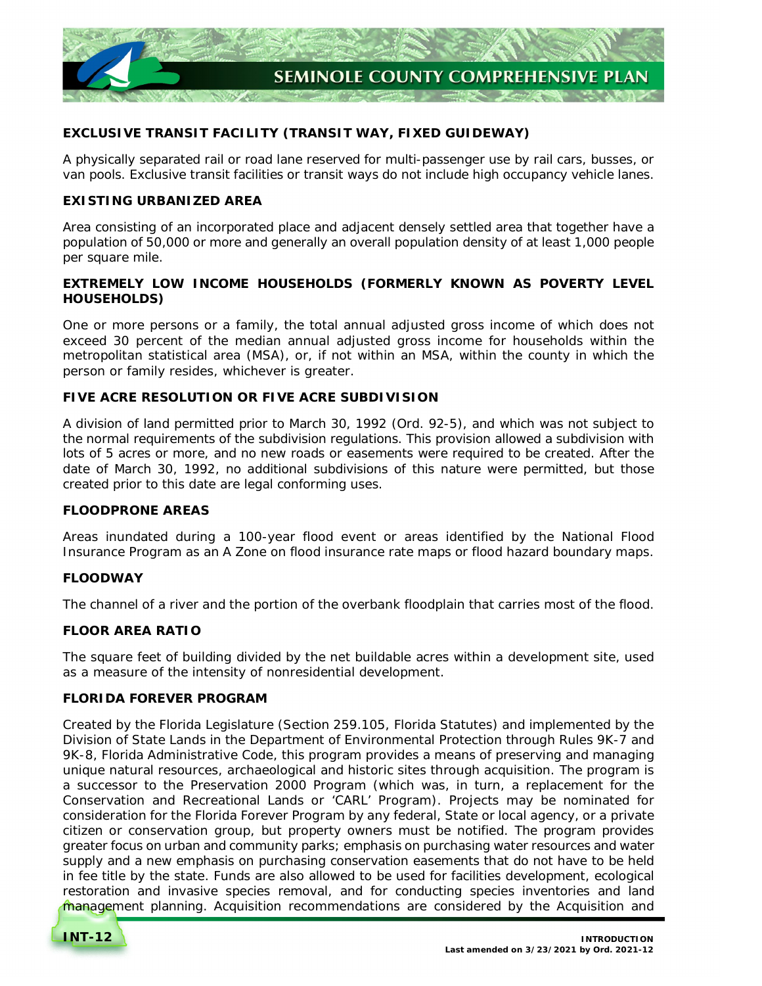

# **EXCLUSIVE TRANSIT FACILITY (TRANSIT WAY, FIXED GUIDEWAY)**

 A physically separated rail or road lane reserved for multi-passenger use by rail cars, busses, or van pools. Exclusive transit facilities or transit ways do not include high occupancy vehicle lanes.

# **EXISTING URBANIZED AREA**

 Area consisting of an incorporated place and adjacent densely settled area that together have a population of 50,000 or more and generally an overall population density of at least 1,000 people per square mile.

# **EXTREMELY LOW INCOME HOUSEHOLDS (FORMERLY KNOWN AS POVERTY LEVEL HOUSEHOLDS)**

 One or more persons or a family, the total annual adjusted gross income of which does not exceed 30 percent of the median annual adjusted gross income for households within the metropolitan statistical area (MSA), or, if not within an MSA, within the county in which the person or family resides, whichever is greater.

# **FIVE ACRE RESOLUTION OR FIVE ACRE SUBDIVISION**

 A division of land permitted prior to March 30, 1992 (Ord. 92-5), and which was not subject to the normal requirements of the subdivision regulations. This provision allowed a subdivision with lots of 5 acres or more, and no new roads or easements were required to be created. After the date of March 30, 1992, no additional subdivisions of this nature were permitted, but those created prior to this date are legal conforming uses.

# **FLOODPRONE AREAS**

 Areas inundated during a 100-year flood event or areas identified by the National Flood Insurance Program as an A Zone on flood insurance rate maps or flood hazard boundary maps.

# **FLOODWAY**

The channel of a river and the portion of the overbank floodplain that carries most of the flood.

# **FLOOR AREA RATIO**

 The square feet of building divided by the net buildable acres within a development site, used as a measure of the intensity of nonresidential development.

# **FLORIDA FOREVER PROGRAM**

 Created by the Florida Legislature (Section 259.105, Florida Statutes) and implemented by the Division of State Lands in the Department of Environmental Protection through Rules 9K-7 and 9K-8, Florida Administrative Code, this program provides a means of preserving and managing unique natural resources, archaeological and historic sites through acquisition. The program is a successor to the Preservation 2000 Program (which was, in turn, a replacement for the Conservation and Recreational Lands or 'CARL' Program). Projects may be nominated for consideration for the Florida Forever Program by any federal, State or local agency, or a private citizen or conservation group, but property owners must be notified. The program provides greater focus on urban and community parks; emphasis on purchasing water resources and water supply and a new emphasis on purchasing conservation easements that do not have to be held in fee title by the state. Funds are also allowed to be used for facilities development, ecological restoration and invasive species removal, and for conducting species inventories and land management planning. Acquisition recommendations are considered by the Acquisition and

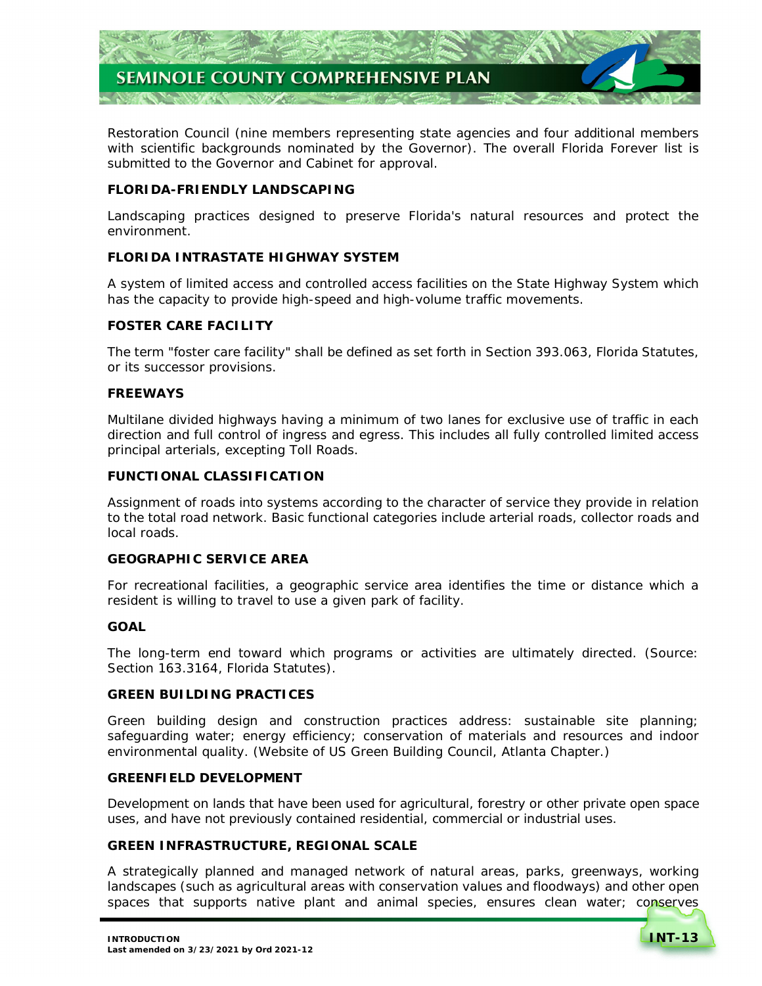

 Restoration Council (nine members representing state agencies and four additional members with scientific backgrounds nominated by the Governor). The overall Florida Forever list is submitted to the Governor and Cabinet for approval.

### **FLORIDA-FRIENDLY LANDSCAPING**

 Landscaping practices designed to preserve Florida's natural resources and protect the environment.

# **FLORIDA INTRASTATE HIGHWAY SYSTEM**

 A system of limited access and controlled access facilities on the State Highway System which has the capacity to provide high-speed and high-volume traffic movements.

# **FOSTER CARE FACILITY**

 The term "foster care facility" shall be defined as set forth in Section 393.063, Florida Statutes, or its successor provisions.

# **FREEWAYS**

 Multilane divided highways having a minimum of two lanes for exclusive use of traffic in each direction and full control of ingress and egress. This includes all fully controlled limited access principal arterials, excepting Toll Roads.

# **FUNCTIONAL CLASSIFICATION**

 Assignment of roads into systems according to the character of service they provide in relation to the total road network. Basic functional categories include arterial roads, collector roads and local roads.

#### **GEOGRAPHIC SERVICE AREA**

 For recreational facilities, a geographic service area identifies the time or distance which a resident is willing to travel to use a given park of facility.

#### **GOAL**

 The long-term end toward which programs or activities are ultimately directed. (Source: Section 163.3164, Florida Statutes).

### **GREEN BUILDING PRACTICES**

 Green building design and construction practices address: sustainable site planning; safeguarding water; energy efficiency; conservation of materials and resources and indoor environmental quality. (Website of US Green Building Council, Atlanta Chapter.)

#### **GREENFIELD DEVELOPMENT**

 Development on lands that have been used for agricultural, forestry or other private open space uses, and have not previously contained residential, commercial or industrial uses.

# **GREEN INFRASTRUCTURE, REGIONAL SCALE**

 A strategically planned and managed network of natural areas, parks, greenways, working landscapes (such as agricultural areas with conservation values and floodways) and other open spaces that supports native plant and animal species, ensures clean water; conserves

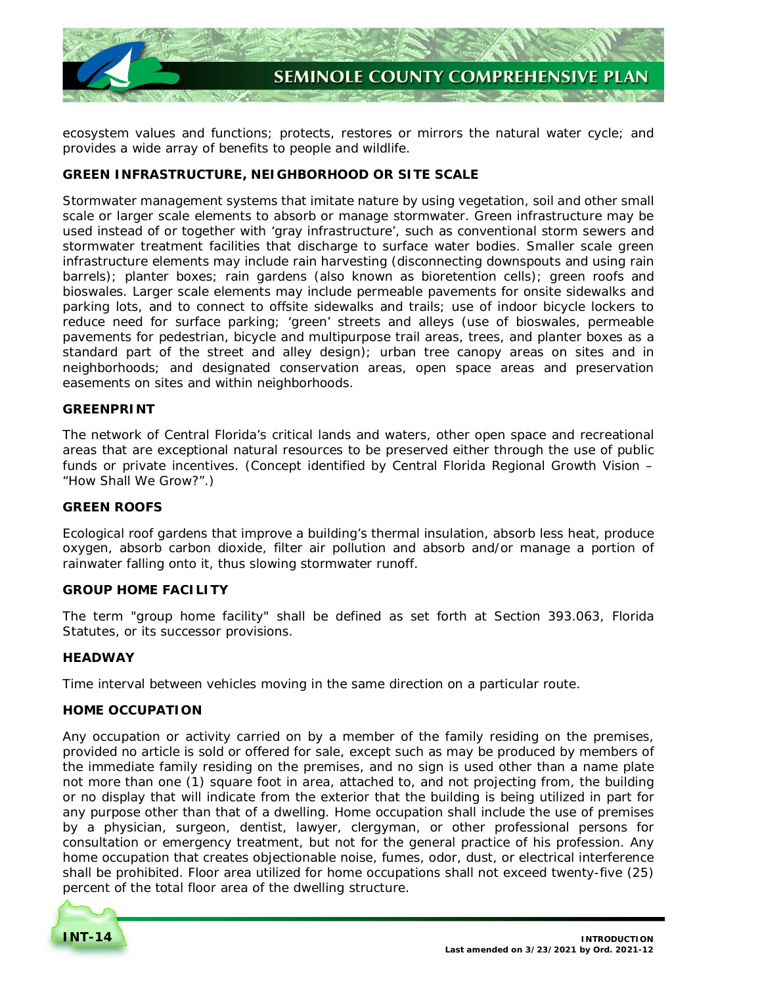

 ecosystem values and functions; protects, restores or mirrors the natural water cycle; and provides a wide array of benefits to people and wildlife.

# **GREEN INFRASTRUCTURE, NEIGHBORHOOD OR SITE SCALE**

 Stormwater management systems that imitate nature by using vegetation, soil and other small scale or larger scale elements to absorb or manage stormwater. Green infrastructure may be used instead of or together with 'gray infrastructure', such as conventional storm sewers and stormwater treatment facilities that discharge to surface water bodies. Smaller scale green infrastructure elements may include rain harvesting (disconnecting downspouts and using rain barrels); planter boxes; rain gardens (also known as bioretention cells); green roofs and bioswales. Larger scale elements may include permeable pavements for onsite sidewalks and parking lots, and to connect to offsite sidewalks and trails; use of indoor bicycle lockers to reduce need for surface parking; 'green' streets and alleys (use of bioswales, permeable pavements for pedestrian, bicycle and multipurpose trail areas, trees, and planter boxes as a standard part of the street and alley design); urban tree canopy areas on sites and in neighborhoods; and designated conservation areas, open space areas and preservation easements on sites and within neighborhoods.

### **GREENPRINT**

 The network of Central Florida's critical lands and waters, other open space and recreational areas that are exceptional natural resources to be preserved either through the use of public funds or private incentives. (Concept identified by Central Florida Regional Growth Vision – "How Shall We Grow?".)

#### **GREEN ROOFS**

 Ecological roof gardens that improve a building's thermal insulation, absorb less heat, produce oxygen, absorb carbon dioxide, filter air pollution and absorb and/or manage a portion of rainwater falling onto it, thus slowing stormwater runoff.

#### **GROUP HOME FACILITY**

 The term "group home facility" shall be defined as set forth at Section 393.063, Florida Statutes, or its successor provisions.

# **HEADWAY**

Time interval between vehicles moving in the same direction on a particular route.

#### **HOME OCCUPATION**

 Any occupation or activity carried on by a member of the family residing on the premises, provided no article is sold or offered for sale, except such as may be produced by members of the immediate family residing on the premises, and no sign is used other than a name plate not more than one (1) square foot in area, attached to, and not projecting from, the building or no display that will indicate from the exterior that the building is being utilized in part for any purpose other than that of a dwelling. Home occupation shall include the use of premises by a physician, surgeon, dentist, lawyer, clergyman, or other professional persons for consultation or emergency treatment, but not for the general practice of his profession. Any home occupation that creates objectionable noise, fumes, odor, dust, or electrical interference shall be prohibited. Floor area utilized for home occupations shall not exceed twenty-five (25) percent of the total floor area of the dwelling structure.

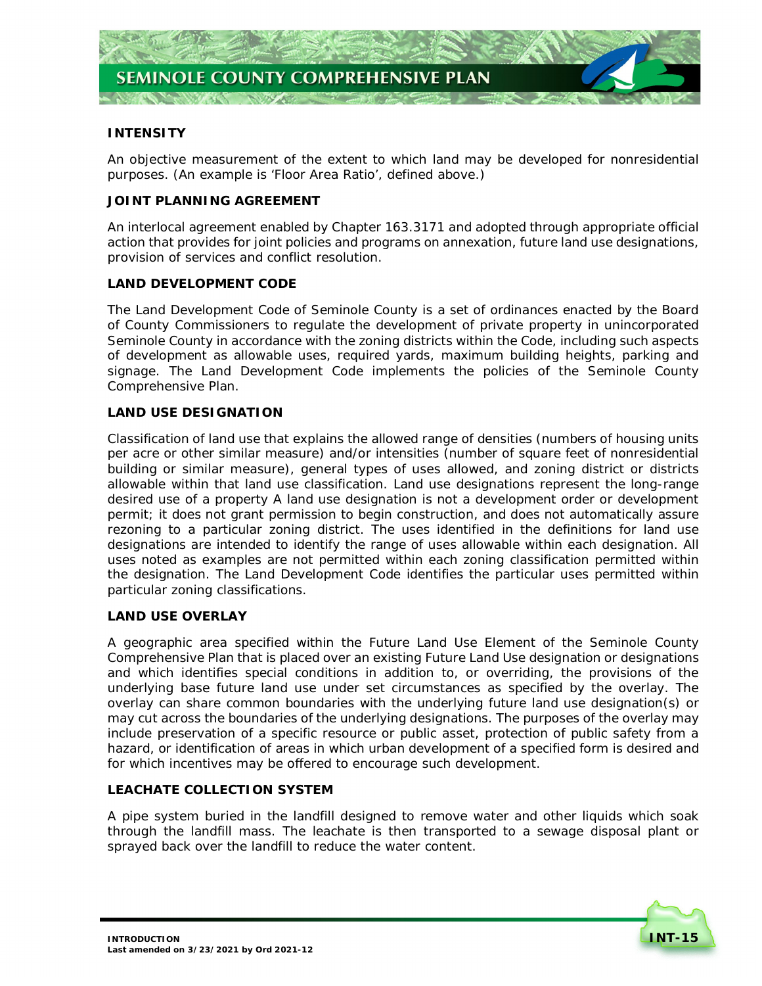

# **INTENSITY**

 An objective measurement of the extent to which land may be developed for nonresidential purposes. (An example is 'Floor Area Ratio', defined above.)

### **JOINT PLANNING AGREEMENT**

 An interlocal agreement enabled by Chapter 163.3171 and adopted through appropriate official action that provides for joint policies and programs on annexation, future land use designations, provision of services and conflict resolution.

### **LAND DEVELOPMENT CODE**

 The Land Development Code of Seminole County is a set of ordinances enacted by the Board of County Commissioners to regulate the development of private property in unincorporated Seminole County in accordance with the zoning districts within the Code, including such aspects of development as allowable uses, required yards, maximum building heights, parking and signage. The Land Development Code implements the policies of the Seminole County Comprehensive Plan.

### **LAND USE DESIGNATION**

 Classification of land use that explains the allowed range of densities (numbers of housing units per acre or other similar measure) and/or intensities (number of square feet of nonresidential building or similar measure), general types of uses allowed, and zoning district or districts allowable within that land use classification. Land use designations represent the long-range desired use of a property A land use designation is not a development order or development permit; it does not grant permission to begin construction, and does not automatically assure rezoning to a particular zoning district. The uses identified in the definitions for land use designations are intended to identify the range of uses allowable within each designation. All uses noted as examples are not permitted within each zoning classification permitted within the designation. The Land Development Code identifies the particular uses permitted within particular zoning classifications.

# **LAND USE OVERLAY**

 A geographic area specified within the Future Land Use Element of the Seminole County Comprehensive Plan that is placed over an existing Future Land Use designation or designations and which identifies special conditions in addition to, or overriding, the provisions of the underlying base future land use under set circumstances as specified by the overlay. The overlay can share common boundaries with the underlying future land use designation(s) or may cut across the boundaries of the underlying designations. The purposes of the overlay may include preservation of a specific resource or public asset, protection of public safety from a hazard, or identification of areas in which urban development of a specified form is desired and for which incentives may be offered to encourage such development.

#### **LEACHATE COLLECTION SYSTEM**

 A pipe system buried in the landfill designed to remove water and other liquids which soak through the landfill mass. The leachate is then transported to a sewage disposal plant or sprayed back over the landfill to reduce the water content.

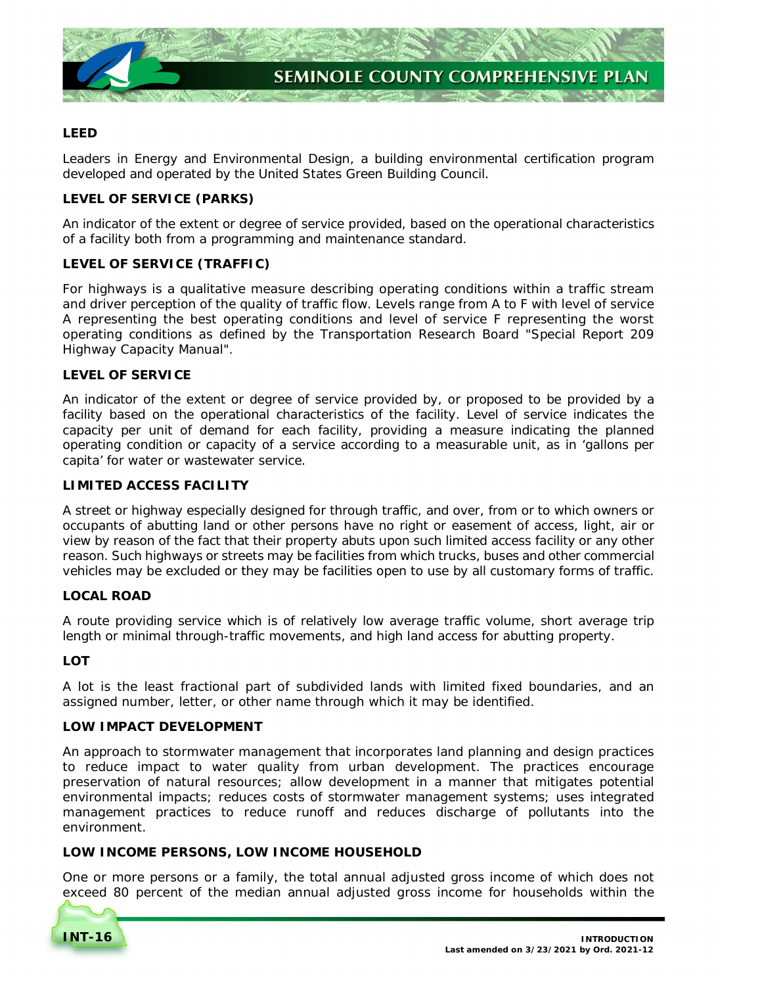

# **LEED**

 Leaders in Energy and Environmental Design, a building environmental certification program developed and operated by the United States Green Building Council.

# **LEVEL OF SERVICE (PARKS)**

 An indicator of the extent or degree of service provided, based on the operational characteristics of a facility both from a programming and maintenance standard.

# **LEVEL OF SERVICE (TRAFFIC)**

 For highways is a qualitative measure describing operating conditions within a traffic stream and driver perception of the quality of traffic flow. Levels range from A to F with level of service A representing the best operating conditions and level of service F representing the worst operating conditions as defined by the Transportation Research Board "Special Report 209 Highway Capacity Manual".

### **LEVEL OF SERVICE**

 An indicator of the extent or degree of service provided by, or proposed to be provided by a facility based on the operational characteristics of the facility. Level of service indicates the capacity per unit of demand for each facility, providing a measure indicating the planned operating condition or capacity of a service according to a measurable unit, as in 'gallons per capita' for water or wastewater service.

### **LIMITED ACCESS FACILITY**

 A street or highway especially designed for through traffic, and over, from or to which owners or occupants of abutting land or other persons have no right or easement of access, light, air or view by reason of the fact that their property abuts upon such limited access facility or any other reason. Such highways or streets may be facilities from which trucks, buses and other commercial vehicles may be excluded or they may be facilities open to use by all customary forms of traffic.

# **LOCAL ROAD**

 A route providing service which is of relatively low average traffic volume, short average trip length or minimal through-traffic movements, and high land access for abutting property.

# **LOT**

 A lot is the least fractional part of subdivided lands with limited fixed boundaries, and an assigned number, letter, or other name through which it may be identified.

# **LOW IMPACT DEVELOPMENT**

 An approach to stormwater management that incorporates land planning and design practices to reduce impact to water quality from urban development. The practices encourage preservation of natural resources; allow development in a manner that mitigates potential environmental impacts; reduces costs of stormwater management systems; uses integrated management practices to reduce runoff and reduces discharge of pollutants into the environment.

# **LOW INCOME PERSONS, LOW INCOME HOUSEHOLD**

 One or more persons or a family, the total annual adjusted gross income of which does not exceed 80 percent of the median annual adjusted gross income for households within the

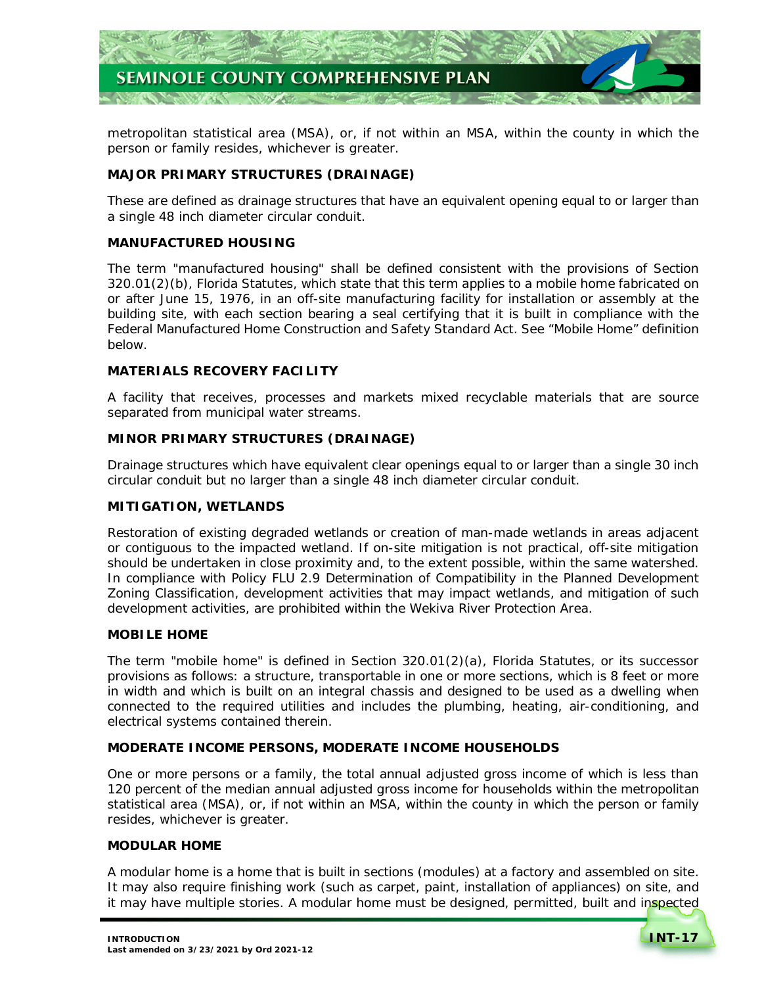

 metropolitan statistical area (MSA), or, if not within an MSA, within the county in which the person or family resides, whichever is greater.

# **MAJOR PRIMARY STRUCTURES (DRAINAGE)**

 These are defined as drainage structures that have an equivalent opening equal to or larger than a single 48 inch diameter circular conduit.

# **MANUFACTURED HOUSING**

 The term "manufactured housing" shall be defined consistent with the provisions of Section 320.01(2)(b), Florida Statutes, which state that this term applies to a mobile home fabricated on or after June 15, 1976, in an off-site manufacturing facility for installation or assembly at the building site, with each section bearing a seal certifying that it is built in compliance with the Federal Manufactured Home Construction and Safety Standard Act. See "Mobile Home" definition below.

# **MATERIALS RECOVERY FACILITY**

 A facility that receives, processes and markets mixed recyclable materials that are source separated from municipal water streams.

### **MINOR PRIMARY STRUCTURES (DRAINAGE)**

 Drainage structures which have equivalent clear openings equal to or larger than a single 30 inch circular conduit but no larger than a single 48 inch diameter circular conduit.

# **MITIGATION, WETLANDS**

 Restoration of existing degraded wetlands or creation of man-made wetlands in areas adjacent or contiguous to the impacted wetland. If on-site mitigation is not practical, off-site mitigation should be undertaken in close proximity and, to the extent possible, within the same watershed.  In compliance with *Policy FLU 2.9 Determination of Compatibility in the Planned Development Zoning Classification*, development activities that may impact wetlands, and mitigation of such development activities, are prohibited within the Wekiva River Protection Area.

#### **MOBILE HOME**

 The term "mobile home" is defined in Section 320.01(2)(a), Florida Statutes, or its successor provisions as follows: a structure, transportable in one or more sections, which is 8 feet or more in width and which is built on an integral chassis and designed to be used as a dwelling when connected to the required utilities and includes the plumbing, heating, air-conditioning, and electrical systems contained therein.

# **MODERATE INCOME PERSONS, MODERATE INCOME HOUSEHOLDS**

 One or more persons or a family, the total annual adjusted gross income of which is less than 120 percent of the median annual adjusted gross income for households within the metropolitan statistical area (MSA), or, if not within an MSA, within the county in which the person or family resides, whichever is greater.

#### **MODULAR HOME**

 A modular home is a home that is built in sections (modules) at a factory and assembled on site. It may also require finishing work (such as carpet, paint, installation of appliances) on site, and it may have multiple stories. A modular home must be designed, permitted, built and inspected

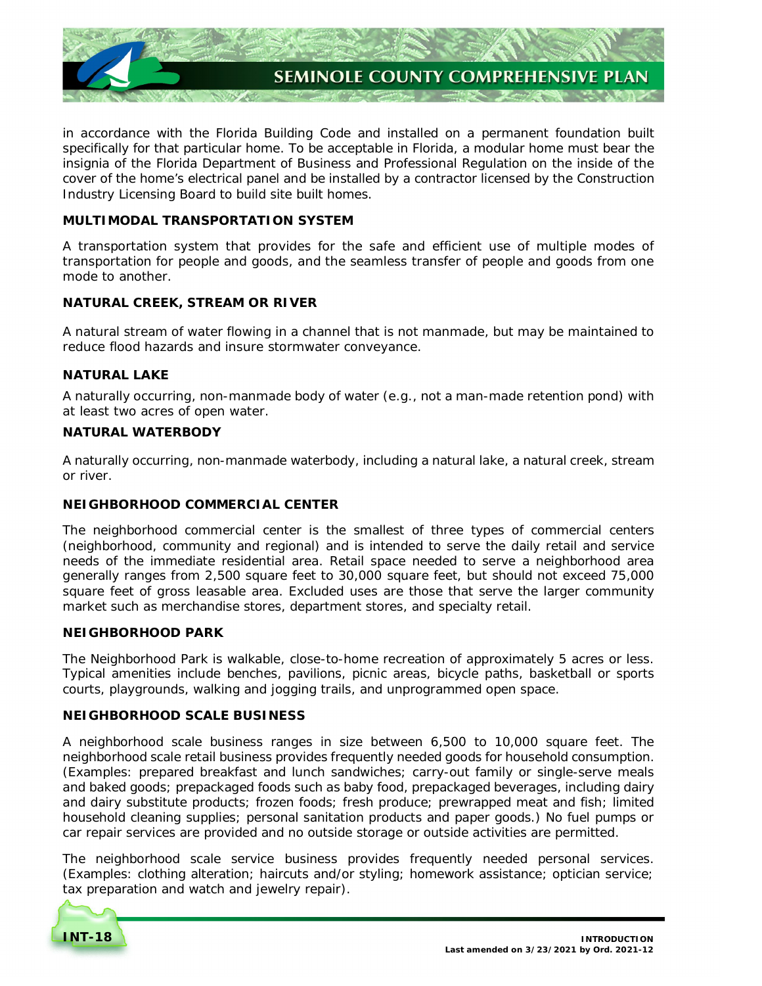

 in accordance with the Florida Building Code and installed on a permanent foundation built specifically for that particular home. To be acceptable in Florida, a modular home must bear the insignia of the Florida Department of Business and Professional Regulation on the inside of the cover of the home's electrical panel and be installed by a contractor licensed by the Construction Industry Licensing Board to build site built homes.

### **MULTIMODAL TRANSPORTATION SYSTEM**

 A transportation system that provides for the safe and efficient use of multiple modes of transportation for people and goods, and the seamless transfer of people and goods from one mode to another.

### **NATURAL CREEK, STREAM OR RIVER**

 A natural stream of water flowing in a channel that is not manmade, but may be maintained to reduce flood hazards and insure stormwater conveyance.

### **NATURAL LAKE**

 A naturally occurring, non-manmade body of water (e.g., not a man-made retention pond) with at least two acres of open water.

### **NATURAL WATERBODY**

 A naturally occurring, non-manmade waterbody, including a natural lake, a natural creek, stream or river.

# **NEIGHBORHOOD COMMERCIAL CENTER**

 The neighborhood commercial center is the smallest of three types of commercial centers (neighborhood, community and regional) and is intended to serve the daily retail and service needs of the immediate residential area. Retail space needed to serve a neighborhood area generally ranges from 2,500 square feet to 30,000 square feet, but should not exceed 75,000 square feet of gross leasable area. Excluded uses are those that serve the larger community market such as merchandise stores, department stores, and specialty retail.

### **NEIGHBORHOOD PARK**

 The Neighborhood Park is walkable, close-to-home recreation of approximately 5 acres or less. Typical amenities include benches, pavilions, picnic areas, bicycle paths, basketball or sports courts, playgrounds, walking and jogging trails, and unprogrammed open space.

# **NEIGHBORHOOD SCALE BUSINESS**

 A neighborhood scale business ranges in size between 6,500 to 10,000 square feet. The neighborhood scale retail business provides frequently needed goods for household consumption. (Examples: prepared breakfast and lunch sandwiches; carry-out family or single-serve meals and baked goods; prepackaged foods such as baby food, prepackaged beverages, including dairy and dairy substitute products; frozen foods; fresh produce; prewrapped meat and fish; limited household cleaning supplies; personal sanitation products and paper goods.) No fuel pumps or car repair services are provided and no outside storage or outside activities are permitted.

 The neighborhood scale service business provides frequently needed personal services. (Examples: clothing alteration; haircuts and/or styling; homework assistance; optician service; tax preparation and watch and jewelry repair).

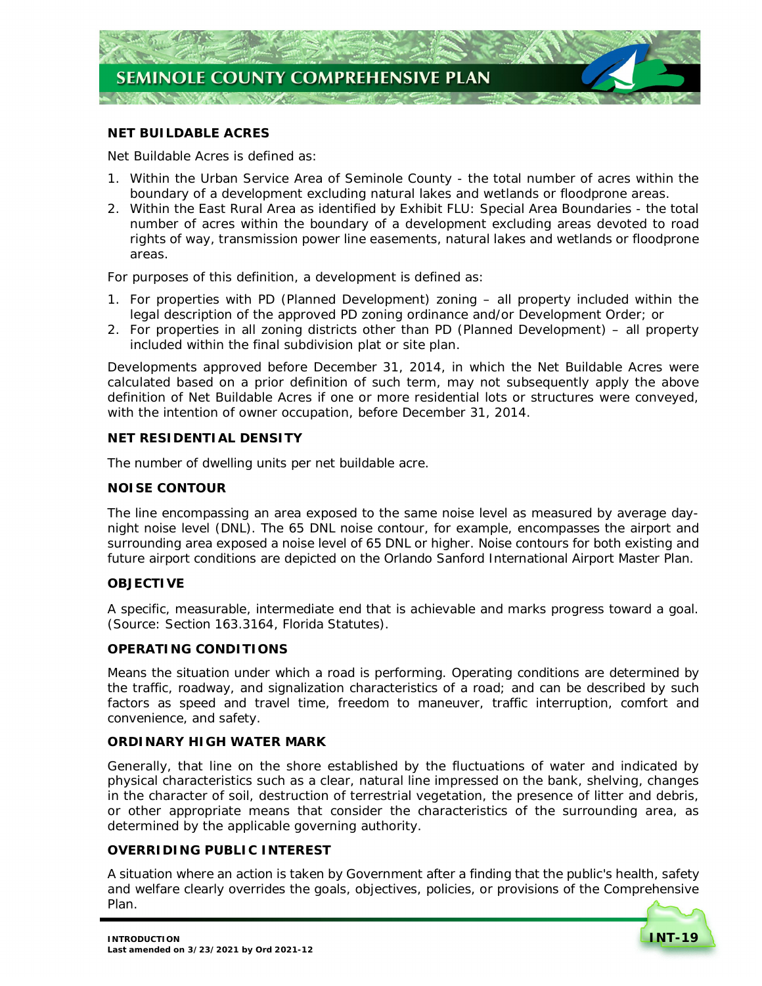

# **NET BUILDABLE ACRES**

 *Net Buildable Acres is defined as:* 

- 1. Within the Urban Service Area of Seminole County the total number of acres within the boundary of a development excluding natural lakes and wetlands or floodprone areas.
- 2. Within the East Rural Area as identified by *Exhibit FLU: Special Area Boundaries*  the total number of acres within the boundary of a development excluding areas devoted to road rights of way, transmission power line easements, natural lakes and wetlands or floodprone areas.

For purposes of this definition, a development is defined as:

- 1. For properties with PD (Planned Development) zoning all property included within the legal description of the approved PD zoning ordinance and/or Development Order; or
- 2. For properties in all zoning districts other than PD (Planned Development) all property included within the final subdivision plat or site plan.

 Developments approved before December 31, 2014, in which the *Net Buildable Acres* were calculated based on a prior definition of such term, may not subsequently apply the above definition of *Net Buildable Acres* if one or more residential lots or structures were conveyed, with the intention of owner occupation, before December 31, 2014.

### **NET RESIDENTIAL DENSITY**

The number of dwelling units per net buildable acre.

#### **NOISE CONTOUR**

 The line encompassing an area exposed to the same noise level as measured by average day- night noise level (DNL). The 65 DNL noise contour, for example, encompasses the airport and surrounding area exposed a noise level of 65 DNL or higher. Noise contours for both existing and future airport conditions are depicted on the Orlando Sanford International Airport Master Plan.

#### **OBJECTIVE**

 A specific, measurable, intermediate end that is achievable and marks progress toward a goal. (Source: Section 163.3164, Florida Statutes).

#### **OPERATING CONDITIONS**

 Means the situation under which a road is performing. Operating conditions are determined by the traffic, roadway, and signalization characteristics of a road; and can be described by such factors as speed and travel time, freedom to maneuver, traffic interruption, comfort and convenience, and safety.

#### **ORDINARY HIGH WATER MARK**

 Generally, that line on the shore established by the fluctuations of water and indicated by physical characteristics such as a clear, natural line impressed on the bank, shelving, changes in the character of soil, destruction of terrestrial vegetation, the presence of litter and debris, or other appropriate means that consider the characteristics of the surrounding area, as determined by the applicable governing authority.

### **OVERRIDING PUBLIC INTEREST**

 A situation where an action is taken by Government after a finding that the public's health, safety and welfare clearly overrides the goals, objectives, policies, or provisions of the Comprehensive Plan.

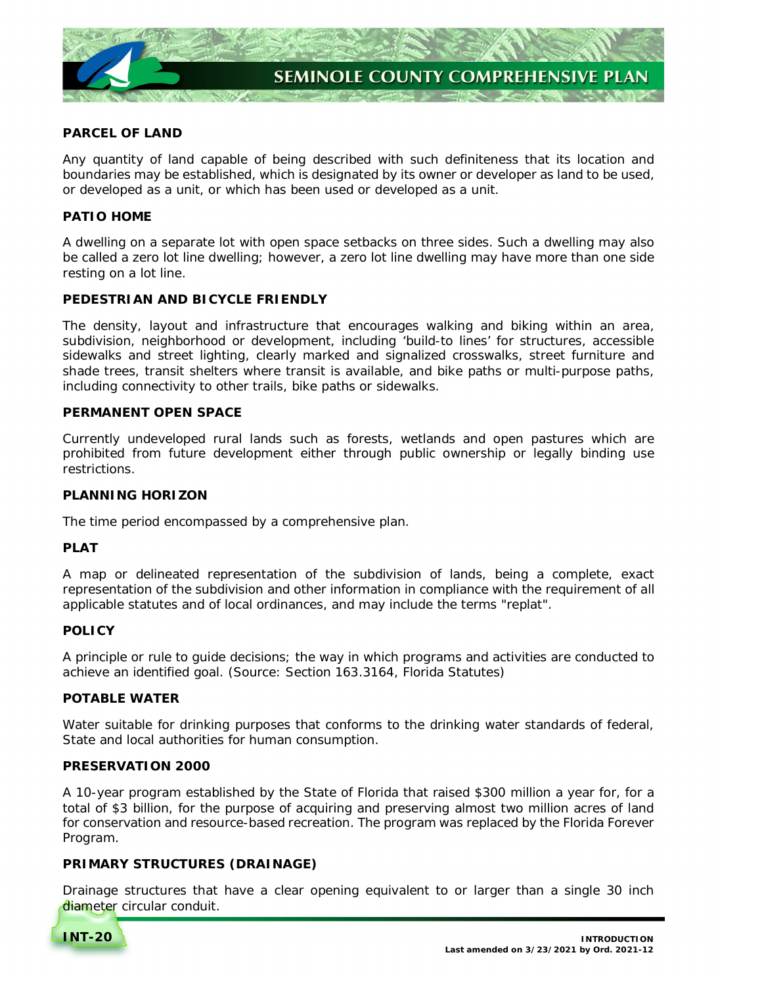

# **PARCEL OF LAND**

 Any quantity of land capable of being described with such definiteness that its location and boundaries may be established, which is designated by its owner or developer as land to be used, or developed as a unit, or which has been used or developed as a unit.

# **PATIO HOME**

 A dwelling on a separate lot with open space setbacks on three sides. Such a dwelling may also be called a zero lot line dwelling; however, a zero lot line dwelling may have more than one side resting on a lot line.

# **PEDESTRIAN AND BICYCLE FRIENDLY**

 The density, layout and infrastructure that encourages walking and biking within an area, subdivision, neighborhood or development, including 'build-to lines' for structures, accessible sidewalks and street lighting, clearly marked and signalized crosswalks, street furniture and shade trees, transit shelters where transit is available, and bike paths or multi-purpose paths, including connectivity to other trails, bike paths or sidewalks.

### **PERMANENT OPEN SPACE**

 Currently undeveloped rural lands such as forests, wetlands and open pastures which are prohibited from future development either through public ownership or legally binding use restrictions.

#### **PLANNING HORIZON**

The time period encompassed by a comprehensive plan.

# **PLAT**

 A map or delineated representation of the subdivision of lands, being a complete, exact representation of the subdivision and other information in compliance with the requirement of all applicable statutes and of local ordinances, and may include the terms "replat".

# **POLICY**

 A principle or rule to guide decisions; the way in which programs and activities are conducted to achieve an identified goal. (Source: Section 163.3164, Florida Statutes)

# **POTABLE WATER**

 Water suitable for drinking purposes that conforms to the drinking water standards of federal, State and local authorities for human consumption.

# **PRESERVATION 2000**

 A 10-year program established by the State of Florida that raised \$300 million a year for, for a total of \$3 billion, for the purpose of acquiring and preserving almost two million acres of land for conservation and resource-based recreation. The program was replaced by the Florida Forever Program.

# **PRIMARY STRUCTURES (DRAINAGE)**

 Drainage structures that have a clear opening equivalent to or larger than a single 30 inch diameter circular conduit.

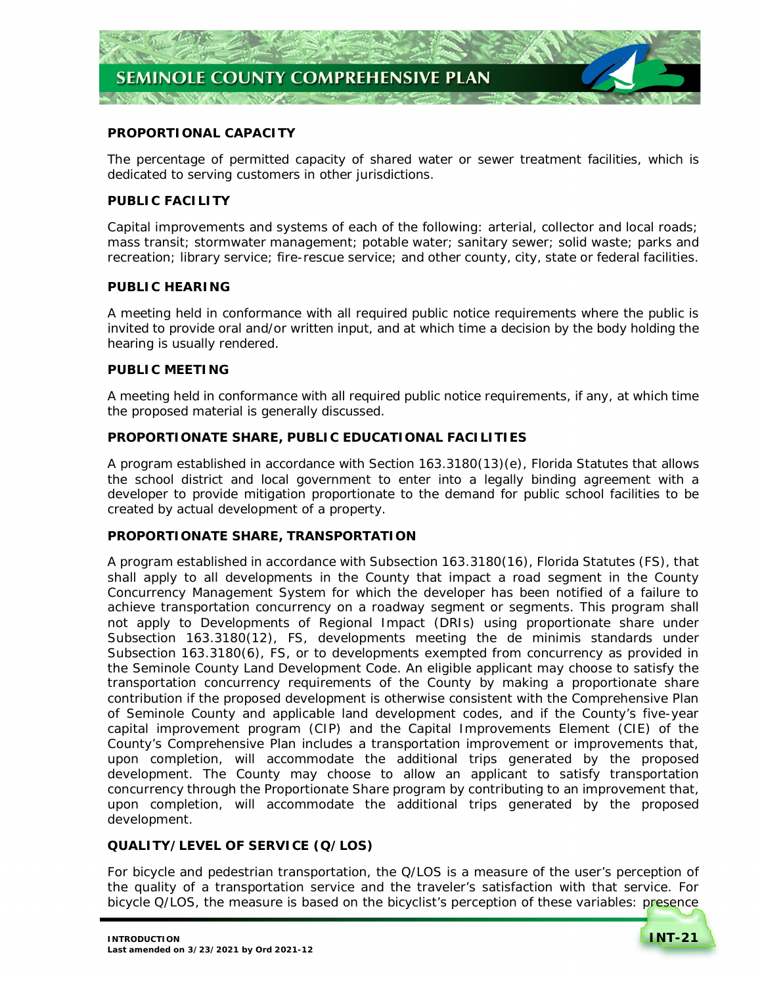

# **PROPORTIONAL CAPACITY**

 The percentage of permitted capacity of shared water or sewer treatment facilities, which is dedicated to serving customers in other jurisdictions.

# **PUBLIC FACILITY**

 Capital improvements and systems of each of the following: arterial, collector and local roads; mass transit; stormwater management; potable water; sanitary sewer; solid waste; parks and recreation; library service; fire-rescue service; and other county, city, state or federal facilities.

# **PUBLIC HEARING**

 A meeting held in conformance with all required public notice requirements where the public is invited to provide oral and/or written input, and at which time a decision by the body holding the hearing is usually rendered.

# **PUBLIC MEETING**

 A meeting held in conformance with all required public notice requirements, if any, at which time the proposed material is generally discussed.

# **PROPORTIONATE SHARE, PUBLIC EDUCATIONAL FACILITIES**

 A program established in accordance with Section 163.3180(13)(e), Florida Statutes that allows the school district and local government to enter into a legally binding agreement with a developer to provide mitigation proportionate to the demand for public school facilities to be created by actual development of a property.

# **PROPORTIONATE SHARE, TRANSPORTATION**

 A program established in accordance with Subsection 163.3180(16), Florida Statutes (FS), that shall apply to all developments in the County that impact a road segment in the County Concurrency Management System for which the developer has been notified of a failure to achieve transportation concurrency on a roadway segment or segments. This program shall not apply to Developments of Regional Impact (DRIs) using proportionate share under Subsection 163.3180(12), FS, developments meeting the de minimis standards under Subsection 163.3180(6), FS, or to developments exempted from concurrency as provided in the Seminole County Land Development Code. An eligible applicant may choose to satisfy the transportation concurrency requirements of the County by making a proportionate share contribution if the proposed development is otherwise consistent with the Comprehensive Plan of Seminole County and applicable land development codes, and if the County's five-year capital improvement program (CIP) and the Capital Improvements Element (CIE) of the County's Comprehensive Plan includes a transportation improvement or improvements that, upon completion, will accommodate the additional trips generated by the proposed development. The County may choose to allow an applicant to satisfy transportation concurrency through the Proportionate Share program by contributing to an improvement that, upon completion, will accommodate the additional trips generated by the proposed development.

# **QUALITY/LEVEL OF SERVICE (Q/LOS)**

 For bicycle and pedestrian transportation, the Q/LOS is a measure of the user's perception of the quality of a transportation service and the traveler's satisfaction with that service. For bicycle Q/LOS, the measure is based on the bicyclist's perception of these variables: presence

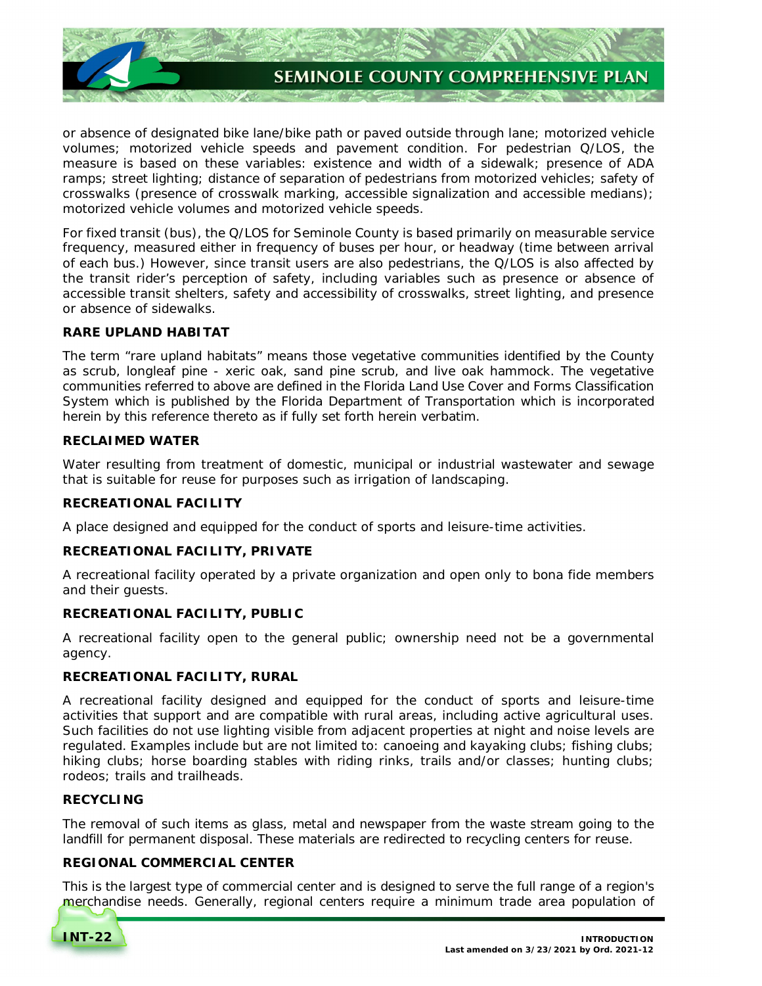

 or absence of designated bike lane/bike path or paved outside through lane; motorized vehicle volumes; motorized vehicle speeds and pavement condition. For pedestrian Q/LOS, the measure is based on these variables: existence and width of a sidewalk; presence of ADA ramps; street lighting; distance of separation of pedestrians from motorized vehicles; safety of crosswalks (presence of crosswalk marking, accessible signalization and accessible medians); motorized vehicle volumes and motorized vehicle speeds.

 For fixed transit (bus), the Q/LOS for Seminole County is based primarily on measurable service frequency, measured either in frequency of buses per hour, or headway (time between arrival of each bus.) However, since transit users are also pedestrians, the Q/LOS is also affected by the transit rider's perception of safety, including variables such as presence or absence of accessible transit shelters, safety and accessibility of crosswalks, street lighting, and presence or absence of sidewalks.

# **RARE UPLAND HABITAT**

 The term "rare upland habitats" means those vegetative communities identified by the County as scrub, longleaf pine - xeric oak, sand pine scrub, and live oak hammock. The vegetative communities referred to above are defined in the Florida Land Use Cover and Forms Classification System which is published by the Florida Department of Transportation which is incorporated herein by this reference thereto as if fully set forth herein verbatim.

# **RECLAIMED WATER**

 Water resulting from treatment of domestic, municipal or industrial wastewater and sewage that is suitable for reuse for purposes such as irrigation of landscaping.

# **RECREATIONAL FACILITY**

A place designed and equipped for the conduct of sports and leisure-time activities.

# **RECREATIONAL FACILITY, PRIVATE**

 A recreational facility operated by a private organization and open only to bona fide members and their guests.

# **RECREATIONAL FACILITY, PUBLIC**

 A recreational facility open to the general public; ownership need not be a governmental agency.

# **RECREATIONAL FACILITY, RURAL**

 A recreational facility designed and equipped for the conduct of sports and leisure-time activities that support and are compatible with rural areas, including active agricultural uses. Such facilities do not use lighting visible from adjacent properties at night and noise levels are regulated. Examples include but are not limited to: canoeing and kayaking clubs; fishing clubs; hiking clubs; horse boarding stables with riding rinks, trails and/or classes; hunting clubs; rodeos; trails and trailheads.

# **RECYCLING**

 The removal of such items as glass, metal and newspaper from the waste stream going to the landfill for permanent disposal. These materials are redirected to recycling centers for reuse.

# **REGIONAL COMMERCIAL CENTER**

 This is the largest type of commercial center and is designed to serve the full range of a region's merchandise needs. Generally, regional centers require a minimum trade area population of

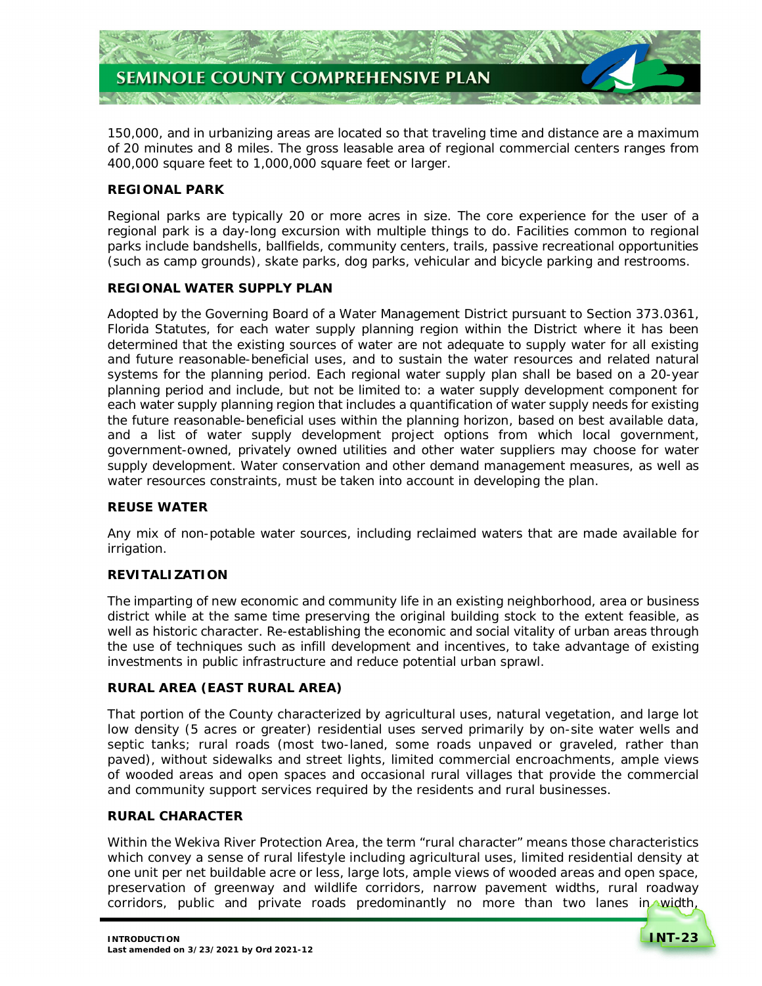

 150,000, and in urbanizing areas are located so that traveling time and distance are a maximum of 20 minutes and 8 miles. The gross leasable area of regional commercial centers ranges from 400,000 square feet to 1,000,000 square feet or larger.

### **REGIONAL PARK**

 Regional parks are typically 20 or more acres in size. The core experience for the user of a regional park is a day-long excursion with multiple things to do. Facilities common to regional parks include bandshells, ballfields, community centers, trails, passive recreational opportunities (such as camp grounds), skate parks, dog parks, vehicular and bicycle parking and restrooms.

# **REGIONAL WATER SUPPLY PLAN**

 Adopted by the Governing Board of a Water Management District pursuant to Section 373.0361, Florida Statutes, for each water supply planning region within the District where it has been determined that the existing sources of water are not adequate to supply water for all existing and future reasonable-beneficial uses, and to sustain the water resources and related natural systems for the planning period. Each regional water supply plan shall be based on a 20-year planning period and include, but not be limited to: a water supply development component for each water supply planning region that includes a quantification of water supply needs for existing the future reasonable-beneficial uses within the planning horizon, based on best available data, and a list of water supply development project options from which local government, government-owned, privately owned utilities and other water suppliers may choose for water supply development. Water conservation and other demand management measures, as well as water resources constraints, must be taken into account in developing the plan.

# **REUSE WATER**

 Any mix of non-potable water sources, including reclaimed waters that are made available for irrigation.

# **REVITALIZATION**

 The imparting of new economic and community life in an existing neighborhood, area or business district while at the same time preserving the original building stock to the extent feasible, as well as historic character. Re-establishing the economic and social vitality of urban areas through the use of techniques such as infill development and incentives, to take advantage of existing investments in public infrastructure and reduce potential urban sprawl.

# **RURAL AREA (EAST RURAL AREA)**

 That portion of the County characterized by agricultural uses, natural vegetation, and large lot low density (5 acres or greater) residential uses served primarily by on-site water wells and septic tanks; rural roads (most two-laned, some roads unpaved or graveled, rather than paved), without sidewalks and street lights, limited commercial encroachments, ample views of wooded areas and open spaces and occasional rural villages that provide the commercial and community support services required by the residents and rural businesses.

# **RURAL CHARACTER**

 Within the Wekiva River Protection Area, the term "rural character" means those characteristics which convey a sense of rural lifestyle including agricultural uses, limited residential density at one unit per net buildable acre or less, large lots, ample views of wooded areas and open space, preservation of greenway and wildlife corridors, narrow pavement widths, rural roadway corridors, public and private roads predominantly no more than two lanes in width,

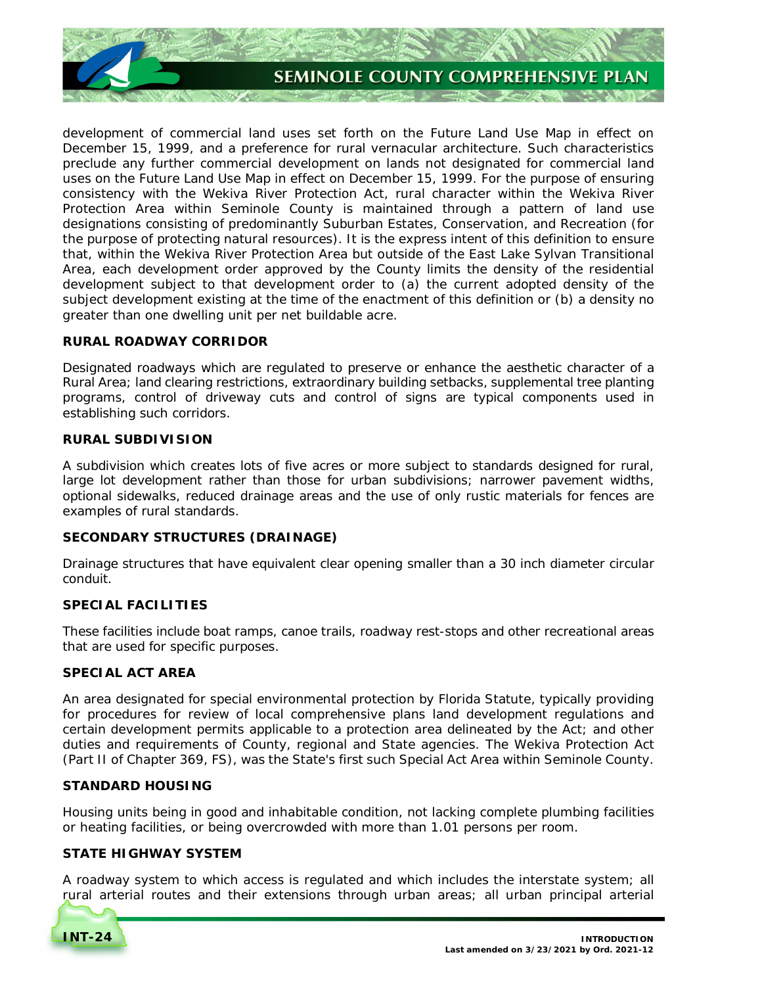

 development of commercial land uses set forth on the Future Land Use Map in effect on December 15, 1999, and a preference for rural vernacular architecture. Such characteristics preclude any further commercial development on lands not designated for commercial land uses on the Future Land Use Map in effect on December 15, 1999. For the purpose of ensuring consistency with the Wekiva River Protection Act, rural character within the Wekiva River Protection Area within Seminole County is maintained through a pattern of land use designations consisting of predominantly Suburban Estates, Conservation, and Recreation (for the purpose of protecting natural resources). It is the express intent of this definition to ensure that, within the Wekiva River Protection Area but outside of the East Lake Sylvan Transitional Area, each development order approved by the County limits the density of the residential development subject to that development order to (a) the current adopted density of the subject development existing at the time of the enactment of this definition or (b) a density no greater than one dwelling unit per net buildable acre.

### **RURAL ROADWAY CORRIDOR**

 Designated roadways which are regulated to preserve or enhance the aesthetic character of a Rural Area; land clearing restrictions, extraordinary building setbacks, supplemental tree planting programs, control of driveway cuts and control of signs are typical components used in establishing such corridors.

# **RURAL SUBDIVISION**

 A subdivision which creates lots of five acres or more subject to standards designed for rural, large lot development rather than those for urban subdivisions; narrower pavement widths, optional sidewalks, reduced drainage areas and the use of only rustic materials for fences are examples of rural standards.

#### **SECONDARY STRUCTURES (DRAINAGE)**

 Drainage structures that have equivalent clear opening smaller than a 30 inch diameter circular conduit.

# **SPECIAL FACILITIES**

 These facilities include boat ramps, canoe trails, roadway rest-stops and other recreational areas that are used for specific purposes.

# **SPECIAL ACT AREA**

 An area designated for special environmental protection by Florida Statute, typically providing for procedures for review of local comprehensive plans land development regulations and certain development permits applicable to a protection area delineated by the Act; and other duties and requirements of County, regional and State agencies. The Wekiva Protection Act (Part II of Chapter 369, FS), was the State's first such Special Act Area within Seminole County.

#### **STANDARD HOUSING**

 Housing units being in good and inhabitable condition, not lacking complete plumbing facilities or heating facilities, or being overcrowded with more than 1.01 persons per room.

# **STATE HIGHWAY SYSTEM**

 A roadway system to which access is regulated and which includes the interstate system; all rural arterial routes and their extensions through urban areas; all urban principal arterial

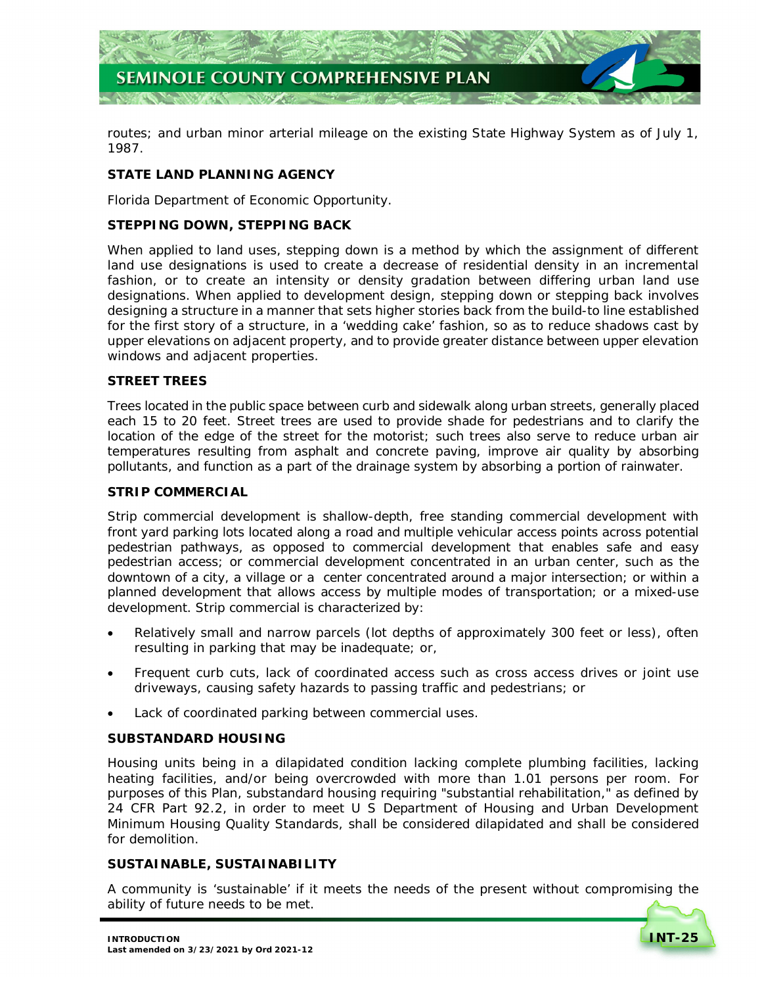

 routes; and urban minor arterial mileage on the existing State Highway System as of July 1, 1987.

# **STATE LAND PLANNING AGENCY**

Florida Department of Economic Opportunity.

# **STEPPING DOWN, STEPPING BACK**

 When applied to land uses, stepping down is a method by which the assignment of different land use designations is used to create a decrease of residential density in an incremental fashion, or to create an intensity or density gradation between differing urban land use designations. When applied to development design, stepping down or stepping back involves designing a structure in a manner that sets higher stories back from the build-to line established for the first story of a structure, in a 'wedding cake' fashion, so as to reduce shadows cast by upper elevations on adjacent property, and to provide greater distance between upper elevation windows and adjacent properties.

# **STREET TREES**

 Trees located in the public space between curb and sidewalk along urban streets, generally placed each 15 to 20 feet. Street trees are used to provide shade for pedestrians and to clarify the location of the edge of the street for the motorist; such trees also serve to reduce urban air temperatures resulting from asphalt and concrete paving, improve air quality by absorbing pollutants, and function as a part of the drainage system by absorbing a portion of rainwater.

### **STRIP COMMERCIAL**

 Strip commercial development is shallow-depth, free standing commercial development with front yard parking lots located along a road and multiple vehicular access points across potential pedestrian pathways, as opposed to commercial development that enables safe and easy pedestrian access; or commercial development concentrated in an urban center, such as the downtown of a city, a village or a center concentrated around a major intersection; or within a planned development that allows access by multiple modes of transportation; or a mixed-use development. Strip commercial is characterized by:

- Relatively small and narrow parcels (lot depths of approximately 300 feet or less), often resulting in parking that may be inadequate; or,
- Frequent curb cuts, lack of coordinated access such as cross access drives or joint use driveways, causing safety hazards to passing traffic and pedestrians; or
- Lack of coordinated parking between commercial uses.

# **SUBSTANDARD HOUSING**

 Housing units being in a dilapidated condition lacking complete plumbing facilities, lacking heating facilities, and/or being overcrowded with more than 1.01 persons per room. For purposes of this Plan, substandard housing requiring "substantial rehabilitation," as defined by 24 CFR Part 92.2, in order to meet U S Department of Housing and Urban Development Minimum Housing Quality Standards, shall be considered dilapidated and shall be considered for demolition.

# **SUSTAINABLE, SUSTAINABILITY**

 A community is 'sustainable' if it meets the needs of the present without compromising the ability of future needs to be met.

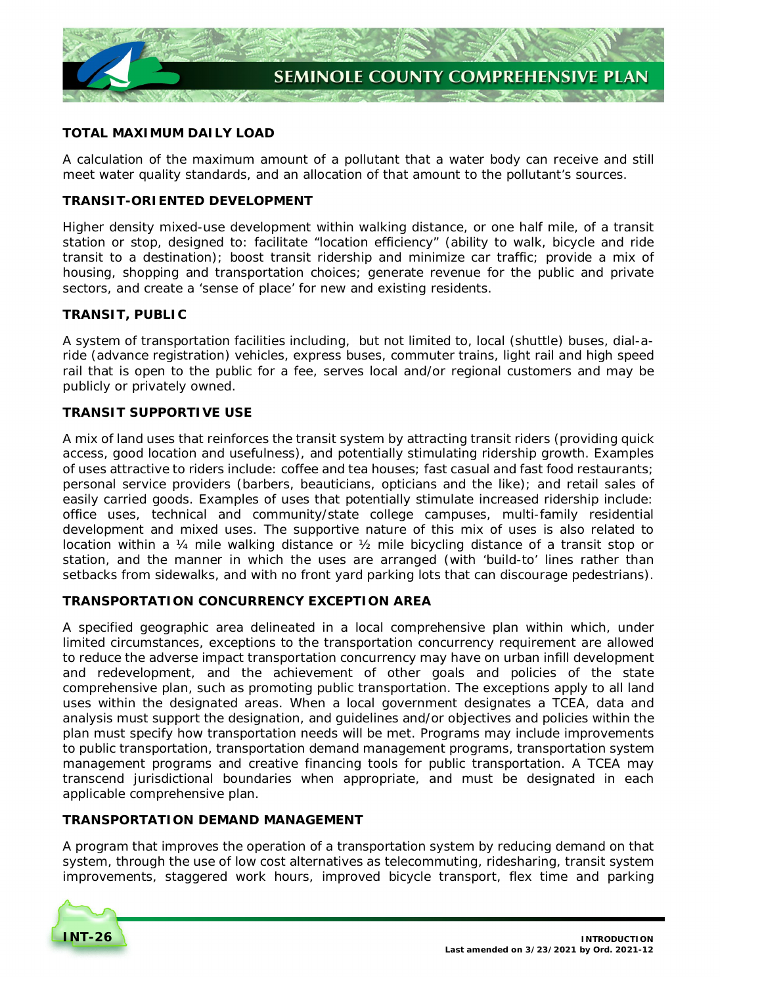

# **TOTAL MAXIMUM DAILY LOAD**

 A calculation of the maximum amount of a pollutant that a water body can receive and still meet water quality standards, and an allocation of that amount to the pollutant's sources.

# **TRANSIT-ORIENTED DEVELOPMENT**

 Higher density mixed-use development within walking distance, or one half mile, of a transit station or stop, designed to: facilitate "location efficiency" (ability to walk, bicycle and ride transit to a destination); boost transit ridership and minimize car traffic; provide a mix of housing, shopping and transportation choices; generate revenue for the public and private sectors, and create a 'sense of place' for new and existing residents.

# **TRANSIT, PUBLIC**

 A system of transportation facilities including, but not limited to, local (shuttle) buses, dial-a- ride (advance registration) vehicles, express buses, commuter trains, light rail and high speed rail that is open to the public for a fee, serves local and/or regional customers and may be publicly or privately owned.

# **TRANSIT SUPPORTIVE USE**

 A mix of land uses that reinforces the transit system by attracting transit riders (providing quick access, good location and usefulness), and potentially stimulating ridership growth. Examples of uses attractive to riders include: coffee and tea houses; fast casual and fast food restaurants; personal service providers (barbers, beauticians, opticians and the like); and retail sales of easily carried goods. Examples of uses that potentially stimulate increased ridership include: office uses, technical and community/state college campuses, multi-family residential development and mixed uses. The supportive nature of this mix of uses is also related to location within a ¼ mile walking distance or ½ mile bicycling distance of a transit stop or station, and the manner in which the uses are arranged (with 'build-to' lines rather than setbacks from sidewalks, and with no front yard parking lots that can discourage pedestrians).

# **TRANSPORTATION CONCURRENCY EXCEPTION AREA**

 A specified geographic area delineated in a local comprehensive plan within which, under limited circumstances, exceptions to the transportation concurrency requirement are allowed to reduce the adverse impact transportation concurrency may have on urban infill development and redevelopment, and the achievement of other goals and policies of the state comprehensive plan, such as promoting public transportation. The exceptions apply to all land uses within the designated areas. When a local government designates a TCEA, data and analysis must support the designation, and guidelines and/or objectives and policies within the plan must specify how transportation needs will be met. Programs may include improvements to public transportation, transportation demand management programs, transportation system management programs and creative financing tools for public transportation. A TCEA may transcend jurisdictional boundaries when appropriate, and must be designated in each applicable comprehensive plan.

# **TRANSPORTATION DEMAND MANAGEMENT**

 A program that improves the operation of a transportation system by reducing demand on that system, through the use of low cost alternatives as telecommuting, ridesharing, transit system improvements, staggered work hours, improved bicycle transport, flex time and parking

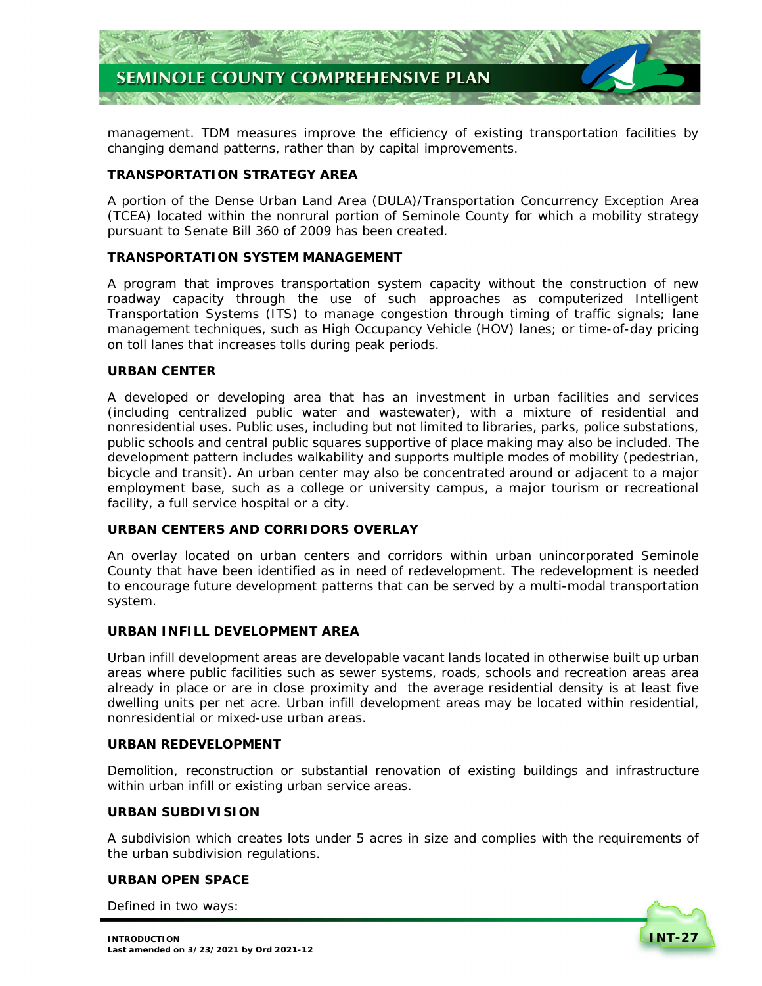

 management. TDM measures improve the efficiency of existing transportation facilities by changing demand patterns, rather than by capital improvements.

# **TRANSPORTATION STRATEGY AREA**

 A portion of the Dense Urban Land Area (DULA)/Transportation Concurrency Exception Area (TCEA) located within the nonrural portion of Seminole County for which a mobility strategy pursuant to Senate Bill 360 of 2009 has been created.

# **TRANSPORTATION SYSTEM MANAGEMENT**

 A program that improves transportation system capacity without the construction of new roadway capacity through the use of such approaches as computerized Intelligent Transportation Systems (ITS) to manage congestion through timing of traffic signals; lane management techniques, such as High Occupancy Vehicle (HOV) lanes; or time-of-day pricing on toll lanes that increases tolls during peak periods.

### **URBAN CENTER**

 A developed or developing area that has an investment in urban facilities and services (including centralized public water and wastewater), with a mixture of residential and nonresidential uses. Public uses, including but not limited to libraries, parks, police substations, public schools and central public squares supportive of place making may also be included. The development pattern includes walkability and supports multiple modes of mobility (pedestrian, bicycle and transit). An urban center may also be concentrated around or adjacent to a major employment base, such as a college or university campus, a major tourism or recreational facility, a full service hospital or a city.

# **URBAN CENTERS AND CORRIDORS OVERLAY**

 An overlay located on urban centers and corridors within urban unincorporated Seminole County that have been identified as in need of redevelopment. The redevelopment is needed to encourage future development patterns that can be served by a multi-modal transportation system.

### **URBAN INFILL DEVELOPMENT AREA**

 Urban infill development areas are developable vacant lands located in otherwise built up urban areas where public facilities such as sewer systems, roads, schools and recreation areas area already in place or are in close proximity and the average residential density is at least five dwelling units per net acre. Urban infill development areas may be located within residential, nonresidential or mixed-use urban areas.

#### **URBAN REDEVELOPMENT**

 Demolition, reconstruction or substantial renovation of existing buildings and infrastructure within urban infill or existing urban service areas.

#### **URBAN SUBDIVISION**

 A subdivision which creates lots under 5 acres in size and complies with the requirements of the urban subdivision regulations.

#### **URBAN OPEN SPACE**

Defined in two ways: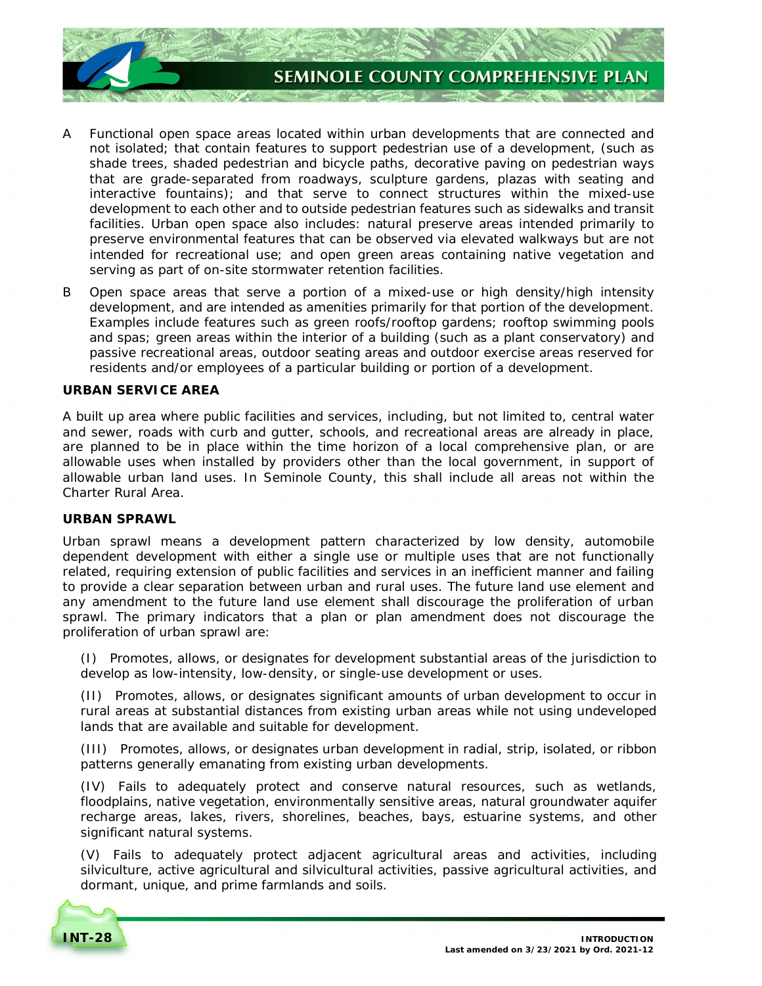

- A Functional open space areas located within urban developments that are connected and not isolated; that contain features to support pedestrian use of a development, (such as shade trees, shaded pedestrian and bicycle paths, decorative paving on pedestrian ways that are grade-separated from roadways, sculpture gardens, plazas with seating and interactive fountains); and that serve to connect structures within the mixed-use development to each other and to outside pedestrian features such as sidewalks and transit facilities. Urban open space also includes: natural preserve areas intended primarily to preserve environmental features that can be observed via elevated walkways but are not intended for recreational use; and open green areas containing native vegetation and serving as part of on-site stormwater retention facilities.
- B Open space areas that serve a portion of a mixed-use or high density/high intensity development, and are intended as amenities primarily for that portion of the development. Examples include features such as green roofs/rooftop gardens; rooftop swimming pools and spas; green areas within the interior of a building (such as a plant conservatory) and passive recreational areas, outdoor seating areas and outdoor exercise areas reserved for residents and/or employees of a particular building or portion of a development.

### **URBAN SERVICE AREA**

 A built up area where public facilities and services, including, but not limited to, central water and sewer, roads with curb and gutter, schools, and recreational areas are already in place, are planned to be in place within the time horizon of a local comprehensive plan, or are allowable uses when installed by providers other than the local government, in support of allowable urban land uses. In Seminole County, this shall include all areas not within the Charter Rural Area.

#### **URBAN SPRAWL**

 Urban sprawl means a development pattern characterized by low density, automobile dependent development with either a single use or multiple uses that are not functionally related, requiring extension of public facilities and services in an inefficient manner and failing to provide a clear separation between urban and rural uses. The future land use element and any amendment to the future land use element shall discourage the proliferation of urban sprawl. The primary indicators that a plan or plan amendment does not discourage the proliferation of urban sprawl are:

 (I) Promotes, allows, or designates for development substantial areas of the jurisdiction to develop as low-intensity, low-density, or single-use development or uses.

 (II) Promotes, allows, or designates significant amounts of urban development to occur in rural areas at substantial distances from existing urban areas while not using undeveloped lands that are available and suitable for development.

 (III) Promotes, allows, or designates urban development in radial, strip, isolated, or ribbon patterns generally emanating from existing urban developments.

 (IV) Fails to adequately protect and conserve natural resources, such as wetlands, floodplains, native vegetation, environmentally sensitive areas, natural groundwater aquifer recharge areas, lakes, rivers, shorelines, beaches, bays, estuarine systems, and other significant natural systems.

 (V) Fails to adequately protect adjacent agricultural areas and activities, including silviculture, active agricultural and silvicultural activities, passive agricultural activities, and dormant, unique, and prime farmlands and soils.

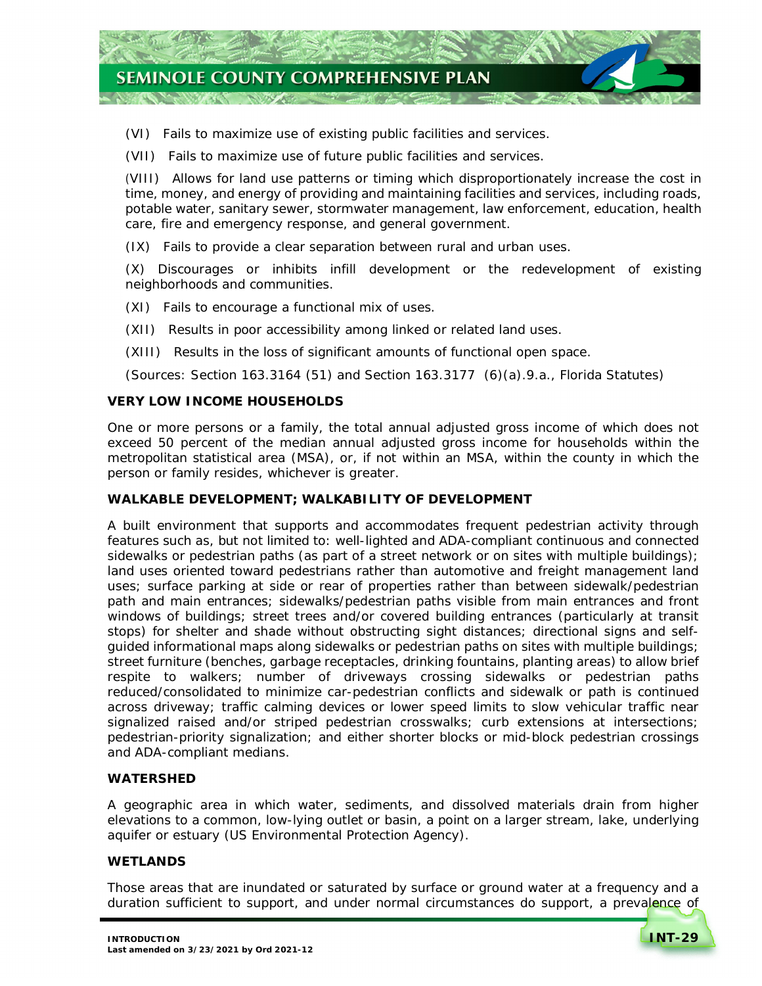

(VI) Fails to maximize use of existing public facilities and services.

(VII) Fails to maximize use of future public facilities and services.

 (VIII) Allows for land use patterns or timing which disproportionately increase the cost in time, money, and energy of providing and maintaining facilities and services, including roads, potable water, sanitary sewer, stormwater management, law enforcement, education, health care, fire and emergency response, and general government.

(IX) Fails to provide a clear separation between rural and urban uses.

 (X) Discourages or inhibits infill development or the redevelopment of existing neighborhoods and communities.

(XI) Fails to encourage a functional mix of uses.

- (XII) Results in poor accessibility among linked or related land uses.
- (XIII) Results in the loss of significant amounts of functional open space.

(Sources: Section 163.3164 (51) and Section 163.3177 (6)(a).9.a., Florida Statutes)

### **VERY LOW INCOME HOUSEHOLDS**

 One or more persons or a family, the total annual adjusted gross income of which does not exceed 50 percent of the median annual adjusted gross income for households within the metropolitan statistical area (MSA), or, if not within an MSA, within the county in which the person or family resides, whichever is greater.

#### **WALKABLE DEVELOPMENT; WALKABILITY OF DEVELOPMENT**

 A built environment that supports and accommodates frequent pedestrian activity through features such as, but not limited to: well-lighted and ADA-compliant continuous and connected sidewalks or pedestrian paths (as part of a street network or on sites with multiple buildings); land uses oriented toward pedestrians rather than automotive and freight management land uses; surface parking at side or rear of properties rather than between sidewalk/pedestrian path and main entrances; sidewalks/pedestrian paths visible from main entrances and front windows of buildings; street trees and/or covered building entrances (particularly at transit stops) for shelter and shade without obstructing sight distances; directional signs and self- guided informational maps along sidewalks or pedestrian paths on sites with multiple buildings; street furniture (benches, garbage receptacles, drinking fountains, planting areas) to allow brief respite to walkers; number of driveways crossing sidewalks or pedestrian paths reduced/consolidated to minimize car-pedestrian conflicts and sidewalk or path is continued across driveway; traffic calming devices or lower speed limits to slow vehicular traffic near signalized raised and/or striped pedestrian crosswalks; curb extensions at intersections; pedestrian-priority signalization; and either shorter blocks or mid-block pedestrian crossings and ADA-compliant medians.

#### **WATERSHED**

 A geographic area in which water, sediments, and dissolved materials drain from higher elevations to a common, low-lying outlet or basin, a point on a larger stream, lake, underlying aquifer or estuary (US Environmental Protection Agency).

# **WETLANDS**

 Those areas that are inundated or saturated by surface or ground water at a frequency and a duration sufficient to support, and under normal circumstances do support, a prevalence of

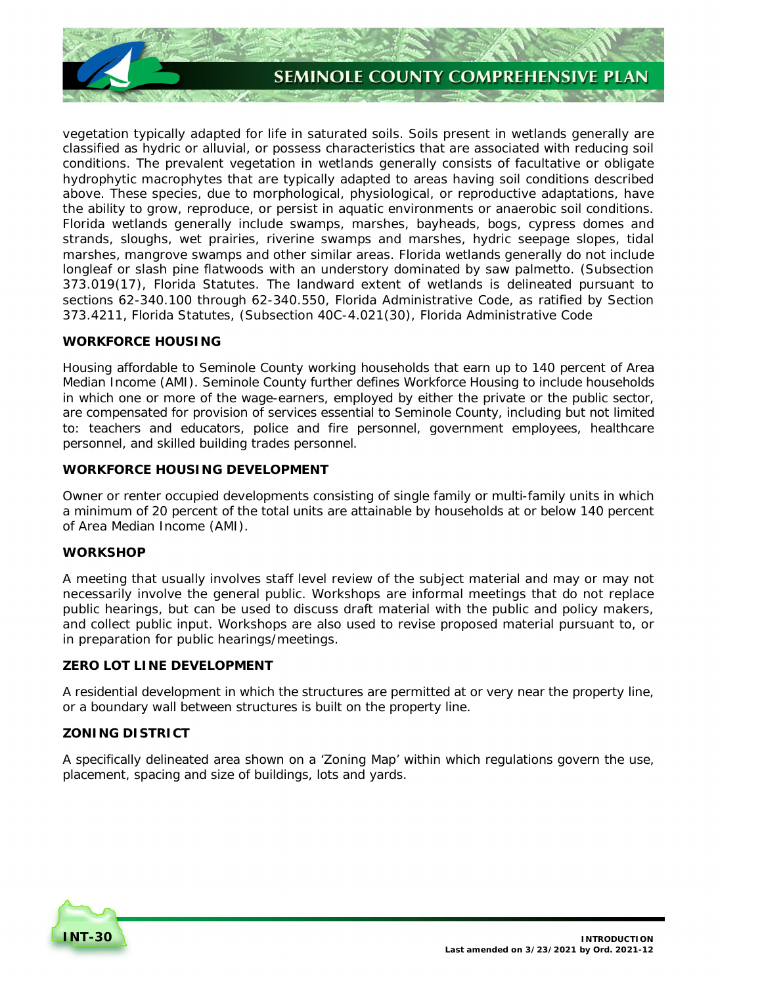

 vegetation typically adapted for life in saturated soils. Soils present in wetlands generally are classified as hydric or alluvial, or possess characteristics that are associated with reducing soil conditions. The prevalent vegetation in wetlands generally consists of facultative or obligate hydrophytic macrophytes that are typically adapted to areas having soil conditions described above. These species, due to morphological, physiological, or reproductive adaptations, have the ability to grow, reproduce, or persist in aquatic environments or anaerobic soil conditions. Florida wetlands generally include swamps, marshes, bayheads, bogs, cypress domes and strands, sloughs, wet prairies, riverine swamps and marshes, hydric seepage slopes, tidal marshes, mangrove swamps and other similar areas. Florida wetlands generally do not include longleaf or slash pine flatwoods with an understory dominated by saw palmetto. (Subsection 373.019(17), Florida Statutes. The landward extent of wetlands is delineated pursuant to sections 62-340.100 through 62-340.550, Florida Administrative Code, as ratified by Section 373.4211, Florida Statutes, (Subsection 40C-4.021(30), Florida Administrative Code

# **WORKFORCE HOUSING**

 Housing affordable to Seminole County working households that earn up to 140 percent of Area Median Income (AMI). Seminole County further defines Workforce Housing to include households in which one or more of the wage-earners, employed by either the private or the public sector, are compensated for provision of services essential to Seminole County, including but not limited to: teachers and educators, police and fire personnel, government employees, healthcare personnel, and skilled building trades personnel.

# **WORKFORCE HOUSING DEVELOPMENT**

 Owner or renter occupied developments consisting of single family or multi-family units in which a minimum of 20 percent of the total units are attainable by households at or below 140 percent of Area Median Income (AMI).

# **WORKSHOP**

 A meeting that usually involves staff level review of the subject material and may or may not necessarily involve the general public. Workshops are informal meetings that do not replace public hearings, but can be used to discuss draft material with the public and policy makers, and collect public input. Workshops are also used to revise proposed material pursuant to, or in preparation for public hearings/meetings.

# **ZERO LOT LINE DEVELOPMENT**

 A residential development in which the structures are permitted at or very near the property line, or a boundary wall between structures is built on the property line.

# **ZONING DISTRICT**

 A specifically delineated area shown on a 'Zoning Map' within which regulations govern the use, placement, spacing and size of buildings, lots and yards.